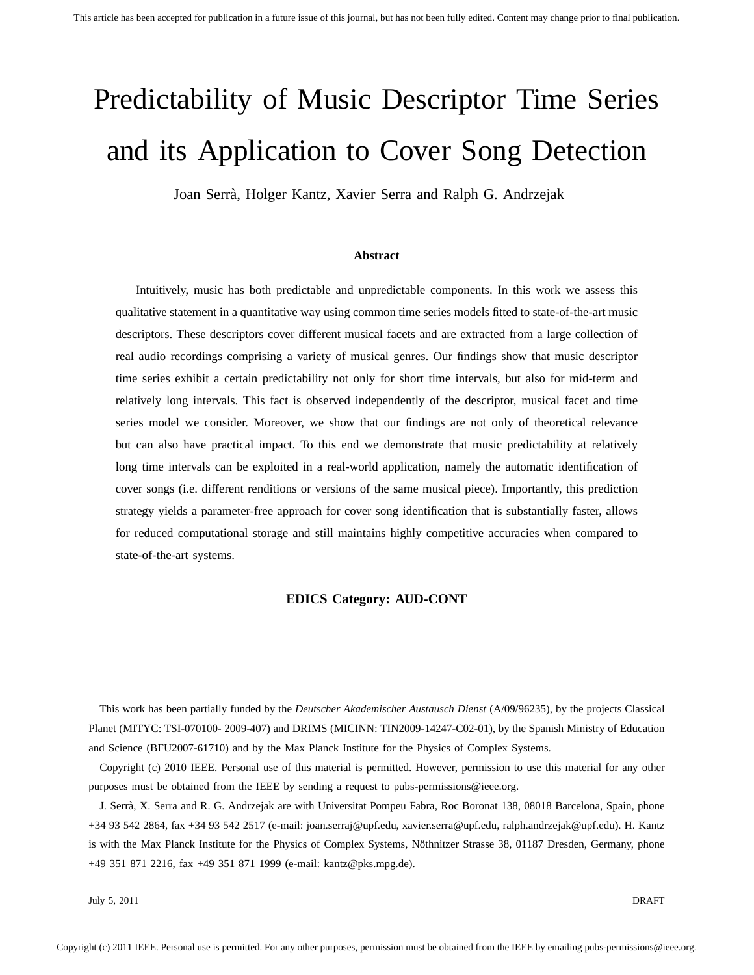# Predictability of Music Descriptor Time Series and its Application to Cover Song Detection

Joan Serra, Holger Kantz, Xavier Serra and Ralph G. Andrzejak `

#### **Abstract**

Intuitively, music has both predictable and unpredictable components. In this work we assess this qualitative statement in a quantitative way using common time series models fitted to state-of-the-art music descriptors. These descriptors cover different musical facets and are extracted from a large collection of real audio recordings comprising a variety of musical genres. Our findings show that music descriptor time series exhibit a certain predictability not only for short time intervals, but also for mid-term and relatively long intervals. This fact is observed independently of the descriptor, musical facet and time series model we consider. Moreover, we show that our findings are not only of theoretical relevance but can also have practical impact. To this end we demonstrate that music predictability at relatively long time intervals can be exploited in a real-world application, namely the automatic identification of cover songs (i.e. different renditions or versions of the same musical piece). Importantly, this prediction strategy yields a parameter-free approach for cover song identification that is substantially faster, allows for reduced computational storage and still maintains highly competitive accuracies when compared to state-of-the-art systems.

# **EDICS Category: AUD-CONT**

This work has been partially funded by the *Deutscher Akademischer Austausch Dienst* (A/09/96235), by the projects Classical Planet (MITYC: TSI-070100- 2009-407) and DRIMS (MICINN: TIN2009-14247-C02-01), by the Spanish Ministry of Education and Science (BFU2007-61710) and by the Max Planck Institute for the Physics of Complex Systems.

Copyright (c) 2010 IEEE. Personal use of this material is permitted. However, permission to use this material for any other purposes must be obtained from the IEEE by sending a request to pubs-permissions@ieee.org.

J. Serrà, X. Serra and R. G. Andrzejak are with Universitat Pompeu Fabra, Roc Boronat 138, 08018 Barcelona, Spain, phone +34 93 542 2864, fax +34 93 542 2517 (e-mail: joan.serraj@upf.edu, xavier.serra@upf.edu, ralph.andrzejak@upf.edu). H. Kantz is with the Max Planck Institute for the Physics of Complex Systems, Nöthnitzer Strasse 38, 01187 Dresden, Germany, phone +49 351 871 2216, fax +49 351 871 1999 (e-mail: kantz@pks.mpg.de).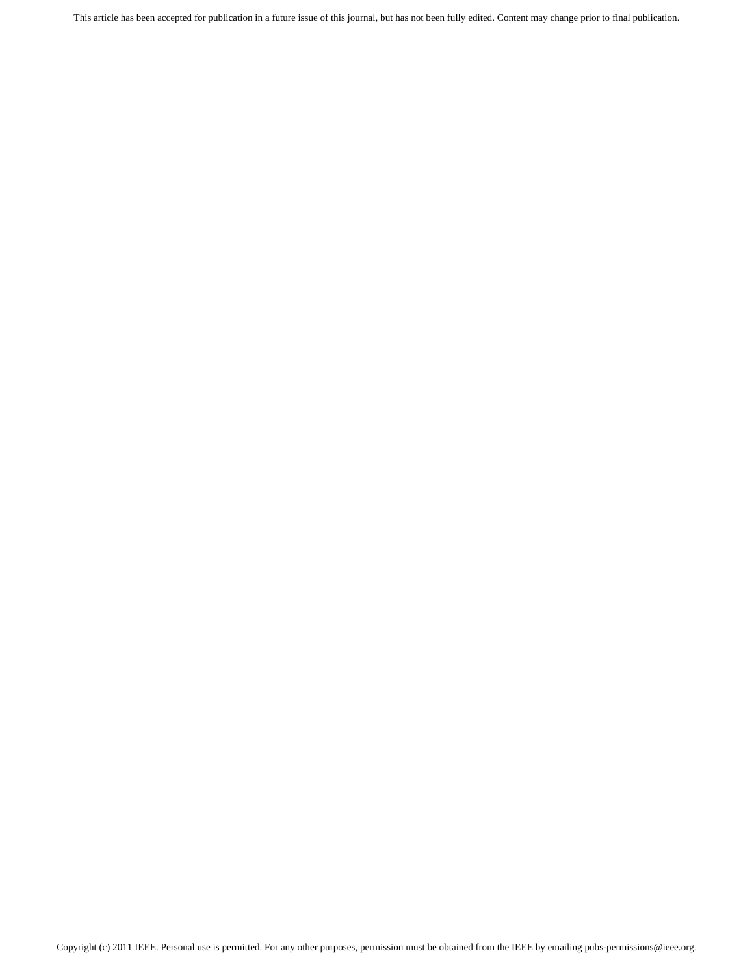This article has been accepted for publication in a future issue of this journal, but has not been fully edited. Content may change prior to final publication.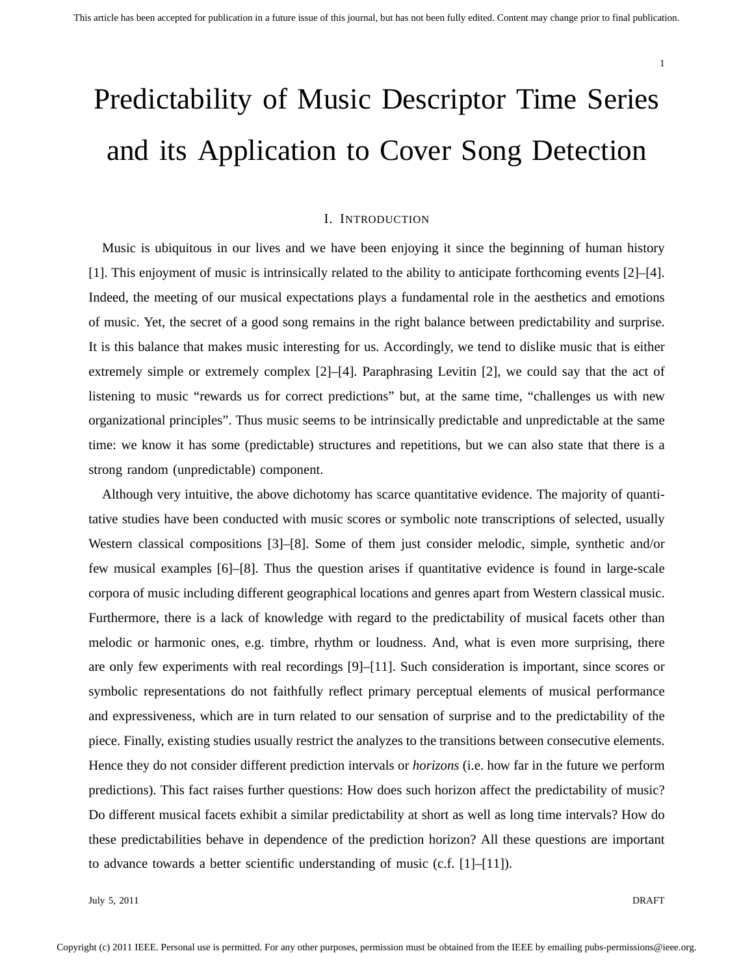# Predictability of Music Descriptor Time Series and its Application to Cover Song Detection

## I. INTRODUCTION

Music is ubiquitous in our lives and we have been enjoying it since the beginning of human history [1]. This enjoyment of music is intrinsically related to the ability to anticipate forthcoming events [2]–[4]. Indeed, the meeting of our musical expectations plays a fundamental role in the aesthetics and emotions of music. Yet, the secret of a good song remains in the right balance between predictability and surprise. It is this balance that makes music interesting for us. Accordingly, we tend to dislike music that is either extremely simple or extremely complex [2]–[4]. Paraphrasing Levitin [2], we could say that the act of listening to music "rewards us for correct predictions" but, at the same time, "challenges us with new organizational principles". Thus music seems to be intrinsically predictable and unpredictable at the same time: we know it has some (predictable) structures and repetitions, but we can also state that there is a strong random (unpredictable) component.

Although very intuitive, the above dichotomy has scarce quantitative evidence. The majority of quantitative studies have been conducted with music scores or symbolic note transcriptions of selected, usually Western classical compositions [3]–[8]. Some of them just consider melodic, simple, synthetic and/or few musical examples [6]–[8]. Thus the question arises if quantitative evidence is found in large-scale corpora of music including different geographical locations and genres apart from Western classical music. Furthermore, there is a lack of knowledge with regard to the predictability of musical facets other than melodic or harmonic ones, e.g. timbre, rhythm or loudness. And, what is even more surprising, there are only few experiments with real recordings [9]–[11]. Such consideration is important, since scores or symbolic representations do not faithfully reflect primary perceptual elements of musical performance and expressiveness, which are in turn related to our sensation of surprise and to the predictability of the piece. Finally, existing studies usually restrict the analyzes to the transitions between consecutive elements. Hence they do not consider different prediction intervals or *horizons* (i.e. how far in the future we perform predictions). This fact raises further questions: How does such horizon affect the predictability of music? Do different musical facets exhibit a similar predictability at short as well as long time intervals? How do these predictabilities behave in dependence of the prediction horizon? All these questions are important to advance towards a better scientific understanding of music (c.f. [1]–[11]).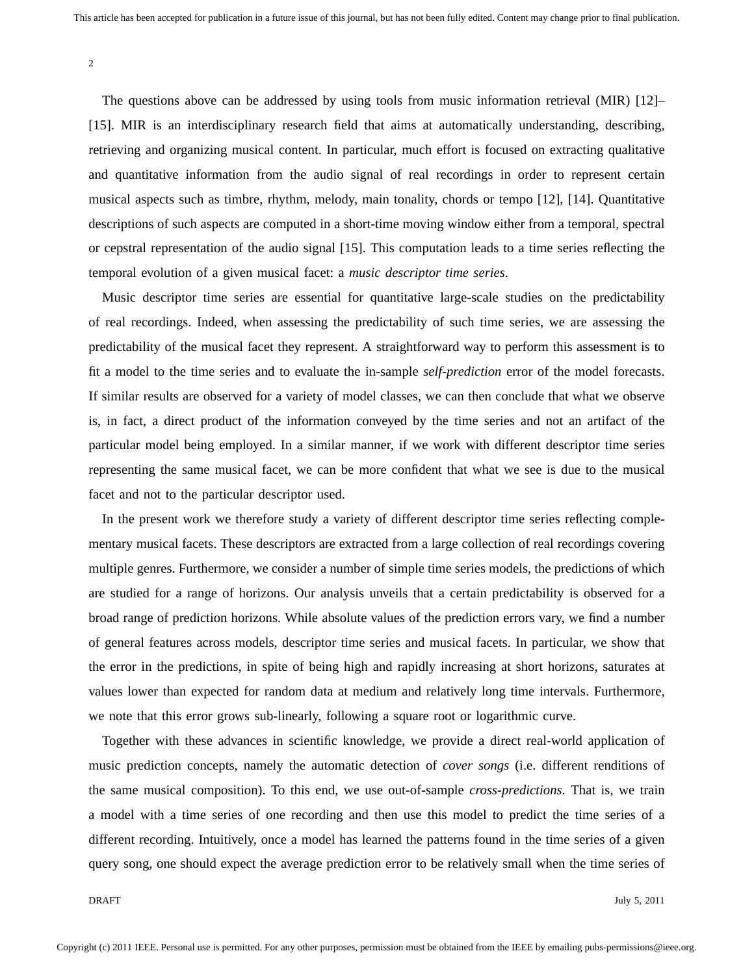The questions above can be addressed by using tools from music information retrieval (MIR) [12]– [15]. MIR is an interdisciplinary research field that aims at automatically understanding, describing, retrieving and organizing musical content. In particular, much effort is focused on extracting qualitative and quantitative information from the audio signal of real recordings in order to represent certain musical aspects such as timbre, rhythm, melody, main tonality, chords or tempo [12], [14]. Quantitative descriptions of such aspects are computed in a short-time moving window either from a temporal, spectral or cepstral representation of the audio signal [15]. This computation leads to a time series reflecting the temporal evolution of a given musical facet: a *music descriptor time series*.

Music descriptor time series are essential for quantitative large-scale studies on the predictability of real recordings. Indeed, when assessing the predictability of such time series, we are assessing the predictability of the musical facet they represent. A straightforward way to perform this assessment is to fit a model to the time series and to evaluate the in-sample *self-prediction* error of the model forecasts. If similar results are observed for a variety of model classes, we can then conclude that what we observe is, in fact, a direct product of the information conveyed by the time series and not an artifact of the particular model being employed. In a similar manner, if we work with different descriptor time series representing the same musical facet, we can be more confident that what we see is due to the musical facet and not to the particular descriptor used.

In the present work we therefore study a variety of different descriptor time series reflecting complementary musical facets. These descriptors are extracted from a large collection of real recordings covering multiple genres. Furthermore, we consider a number of simple time series models, the predictions of which are studied for a range of horizons. Our analysis unveils that a certain predictability is observed for a broad range of prediction horizons. While absolute values of the prediction errors vary, we find a number of general features across models, descriptor time series and musical facets. In particular, we show that the error in the predictions, in spite of being high and rapidly increasing at short horizons, saturates at values lower than expected for random data at medium and relatively long time intervals. Furthermore, we note that this error grows sub-linearly, following a square root or logarithmic curve.

Together with these advances in scientific knowledge, we provide a direct real-world application of music prediction concepts, namely the automatic detection of *cover songs* (i.e. different renditions of the same musical composition). To this end, we use out-of-sample *cross-predictions*. That is, we train a model with a time series of one recording and then use this model to predict the time series of a different recording. Intuitively, once a model has learned the patterns found in the time series of a given query song, one should expect the average prediction error to be relatively small when the time series of

DRAFT July 5, 2011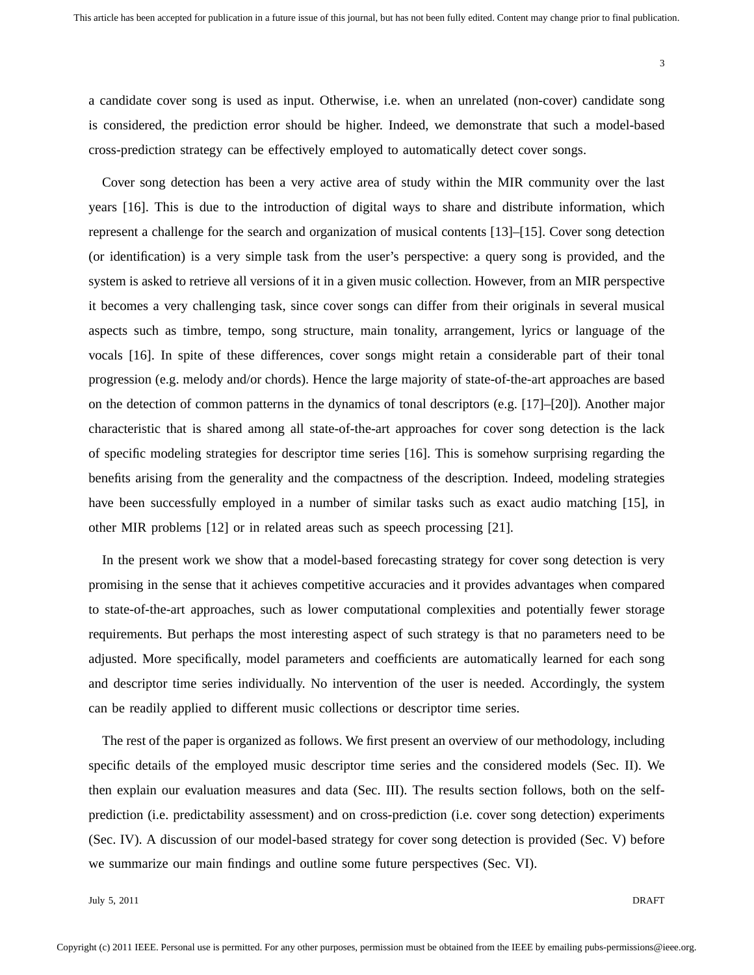a candidate cover song is used as input. Otherwise, i.e. when an unrelated (non-cover) candidate song is considered, the prediction error should be higher. Indeed, we demonstrate that such a model-based cross-prediction strategy can be effectively employed to automatically detect cover songs.

Cover song detection has been a very active area of study within the MIR community over the last years [16]. This is due to the introduction of digital ways to share and distribute information, which represent a challenge for the search and organization of musical contents [13]–[15]. Cover song detection (or identification) is a very simple task from the user's perspective: a query song is provided, and the system is asked to retrieve all versions of it in a given music collection. However, from an MIR perspective it becomes a very challenging task, since cover songs can differ from their originals in several musical aspects such as timbre, tempo, song structure, main tonality, arrangement, lyrics or language of the vocals [16]. In spite of these differences, cover songs might retain a considerable part of their tonal progression (e.g. melody and/or chords). Hence the large majority of state-of-the-art approaches are based on the detection of common patterns in the dynamics of tonal descriptors (e.g. [17]–[20]). Another major characteristic that is shared among all state-of-the-art approaches for cover song detection is the lack of specific modeling strategies for descriptor time series [16]. This is somehow surprising regarding the benefits arising from the generality and the compactness of the description. Indeed, modeling strategies have been successfully employed in a number of similar tasks such as exact audio matching [15], in other MIR problems [12] or in related areas such as speech processing [21].

In the present work we show that a model-based forecasting strategy for cover song detection is very promising in the sense that it achieves competitive accuracies and it provides advantages when compared to state-of-the-art approaches, such as lower computational complexities and potentially fewer storage requirements. But perhaps the most interesting aspect of such strategy is that no parameters need to be adjusted. More specifically, model parameters and coefficients are automatically learned for each song and descriptor time series individually. No intervention of the user is needed. Accordingly, the system can be readily applied to different music collections or descriptor time series.

The rest of the paper is organized as follows. We first present an overview of our methodology, including specific details of the employed music descriptor time series and the considered models (Sec. II). We then explain our evaluation measures and data (Sec. III). The results section follows, both on the selfprediction (i.e. predictability assessment) and on cross-prediction (i.e. cover song detection) experiments (Sec. IV). A discussion of our model-based strategy for cover song detection is provided (Sec. V) before we summarize our main findings and outline some future perspectives (Sec. VI).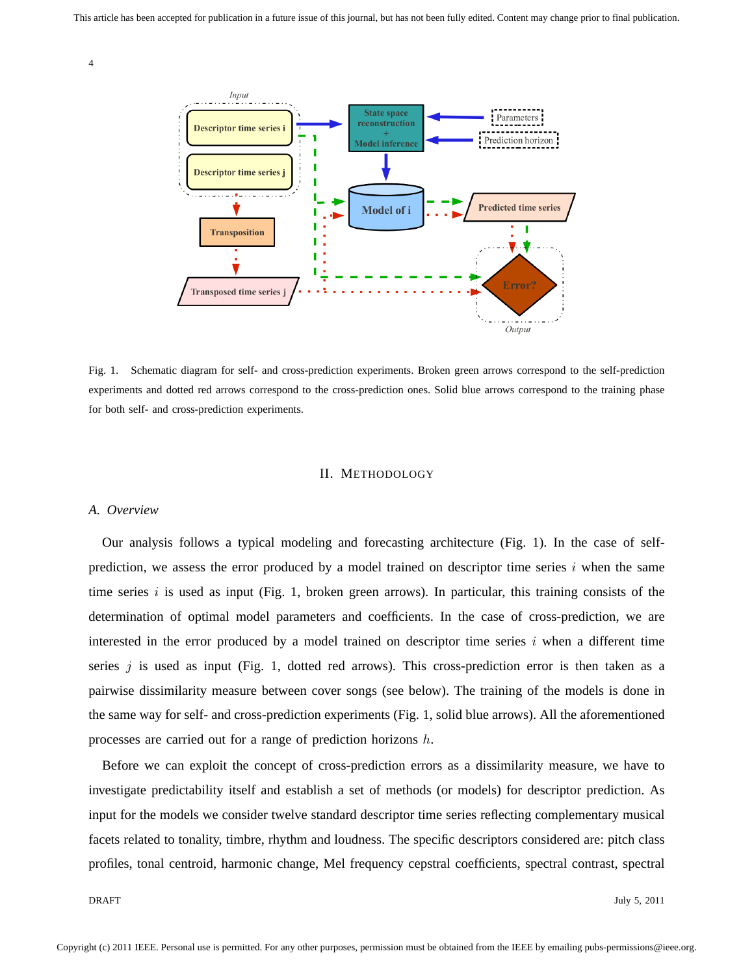

Fig. 1. Schematic diagram for self- and cross-prediction experiments. Broken green arrows correspond to the self-prediction experiments and dotted red arrows correspond to the cross-prediction ones. Solid blue arrows correspond to the training phase for both self- and cross-prediction experiments.

#### II. METHODOLOGY

#### *A. Overview*

Our analysis follows a typical modeling and forecasting architecture (Fig. 1). In the case of selfprediction, we assess the error produced by a model trained on descriptor time series  $i$  when the same time series  $i$  is used as input (Fig. 1, broken green arrows). In particular, this training consists of the determination of optimal model parameters and coefficients. In the case of cross-prediction, we are interested in the error produced by a model trained on descriptor time series  $i$  when a different time series j is used as input (Fig. 1, dotted red arrows). This cross-prediction error is then taken as a pairwise dissimilarity measure between cover songs (see below). The training of the models is done in the same way for self- and cross-prediction experiments (Fig. 1, solid blue arrows). All the aforementioned processes are carried out for a range of prediction horizons h.

Before we can exploit the concept of cross-prediction errors as a dissimilarity measure, we have to investigate predictability itself and establish a set of methods (or models) for descriptor prediction. As input for the models we consider twelve standard descriptor time series reflecting complementary musical facets related to tonality, timbre, rhythm and loudness. The specific descriptors considered are: pitch class profiles, tonal centroid, harmonic change, Mel frequency cepstral coefficients, spectral contrast, spectral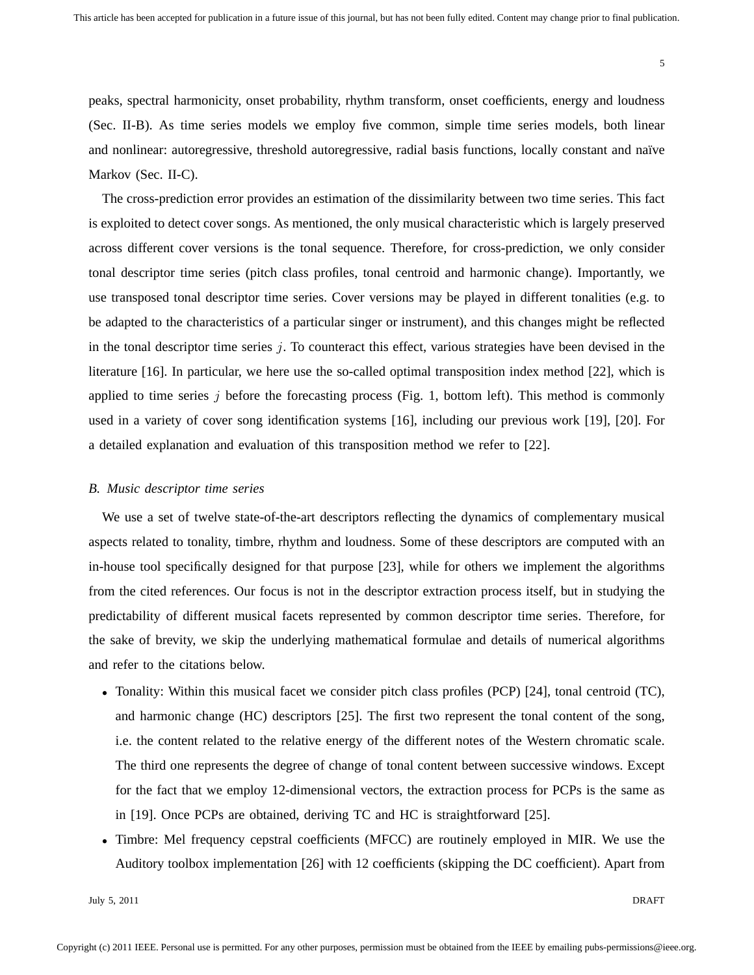peaks, spectral harmonicity, onset probability, rhythm transform, onset coefficients, energy and loudness (Sec. II-B). As time series models we employ five common, simple time series models, both linear and nonlinear: autoregressive, threshold autoregressive, radial basis functions, locally constant and naïve Markov (Sec. II-C).

The cross-prediction error provides an estimation of the dissimilarity between two time series. This fact is exploited to detect cover songs. As mentioned, the only musical characteristic which is largely preserved across different cover versions is the tonal sequence. Therefore, for cross-prediction, we only consider tonal descriptor time series (pitch class profiles, tonal centroid and harmonic change). Importantly, we use transposed tonal descriptor time series. Cover versions may be played in different tonalities (e.g. to be adapted to the characteristics of a particular singer or instrument), and this changes might be reflected in the tonal descriptor time series j. To counteract this effect, various strategies have been devised in the literature [16]. In particular, we here use the so-called optimal transposition index method [22], which is applied to time series j before the forecasting process (Fig. 1, bottom left). This method is commonly used in a variety of cover song identification systems [16], including our previous work [19], [20]. For a detailed explanation and evaluation of this transposition method we refer to [22].

# *B. Music descriptor time series*

We use a set of twelve state-of-the-art descriptors reflecting the dynamics of complementary musical aspects related to tonality, timbre, rhythm and loudness. Some of these descriptors are computed with an in-house tool specifically designed for that purpose [23], while for others we implement the algorithms from the cited references. Our focus is not in the descriptor extraction process itself, but in studying the predictability of different musical facets represented by common descriptor time series. Therefore, for the sake of brevity, we skip the underlying mathematical formulae and details of numerical algorithms and refer to the citations below.

- Tonality: Within this musical facet we consider pitch class profiles (PCP) [24], tonal centroid (TC), and harmonic change (HC) descriptors [25]. The first two represent the tonal content of the song, i.e. the content related to the relative energy of the different notes of the Western chromatic scale. The third one represents the degree of change of tonal content between successive windows. Except for the fact that we employ 12-dimensional vectors, the extraction process for PCPs is the same as in [19]. Once PCPs are obtained, deriving TC and HC is straightforward [25].
- Timbre: Mel frequency cepstral coefficients (MFCC) are routinely employed in MIR. We use the Auditory toolbox implementation [26] with 12 coefficients (skipping the DC coefficient). Apart from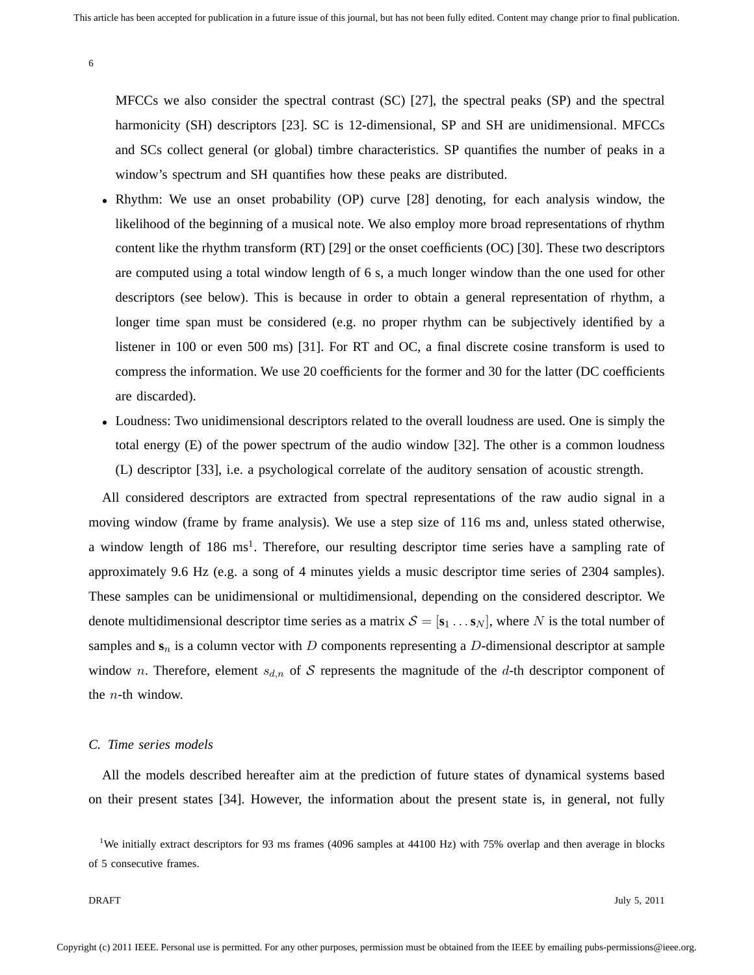MFCCs we also consider the spectral contrast (SC) [27], the spectral peaks (SP) and the spectral harmonicity (SH) descriptors [23]. SC is 12-dimensional, SP and SH are unidimensional. MFCCs and SCs collect general (or global) timbre characteristics. SP quantifies the number of peaks in a window's spectrum and SH quantifies how these peaks are distributed.

- Rhythm: We use an onset probability (OP) curve [28] denoting, for each analysis window, the likelihood of the beginning of a musical note. We also employ more broad representations of rhythm content like the rhythm transform (RT) [29] or the onset coefficients (OC) [30]. These two descriptors are computed using a total window length of 6 s, a much longer window than the one used for other descriptors (see below). This is because in order to obtain a general representation of rhythm, a longer time span must be considered (e.g. no proper rhythm can be subjectively identified by a listener in 100 or even 500 ms) [31]. For RT and OC, a final discrete cosine transform is used to compress the information. We use 20 coefficients for the former and 30 for the latter (DC coefficients are discarded).
- Loudness: Two unidimensional descriptors related to the overall loudness are used. One is simply the total energy (E) of the power spectrum of the audio window [32]. The other is a common loudness (L) descriptor [33], i.e. a psychological correlate of the auditory sensation of acoustic strength.

All considered descriptors are extracted from spectral representations of the raw audio signal in a moving window (frame by frame analysis). We use a step size of 116 ms and, unless stated otherwise, a window length of 186 ms<sup>1</sup>. Therefore, our resulting descriptor time series have a sampling rate of approximately 9.6 Hz (e.g. a song of 4 minutes yields a music descriptor time series of 2304 samples). These samples can be unidimensional or multidimensional, depending on the considered descriptor. We denote multidimensional descriptor time series as a matrix  $S = [\mathbf{s}_1 \dots \mathbf{s}_N]$ , where N is the total number of samples and  $s_n$  is a column vector with  $D$  components representing a  $D$ -dimensional descriptor at sample window n. Therefore, element  $s_{d,n}$  of S represents the magnitude of the d-th descriptor component of the  $n$ -th window.

### *C. Time series models*

All the models described hereafter aim at the prediction of future states of dynamical systems based on their present states [34]. However, the information about the present state is, in general, not fully

<sup>&</sup>lt;sup>1</sup>We initially extract descriptors for 93 ms frames (4096 samples at 44100 Hz) with 75% overlap and then average in blocks of 5 consecutive frames.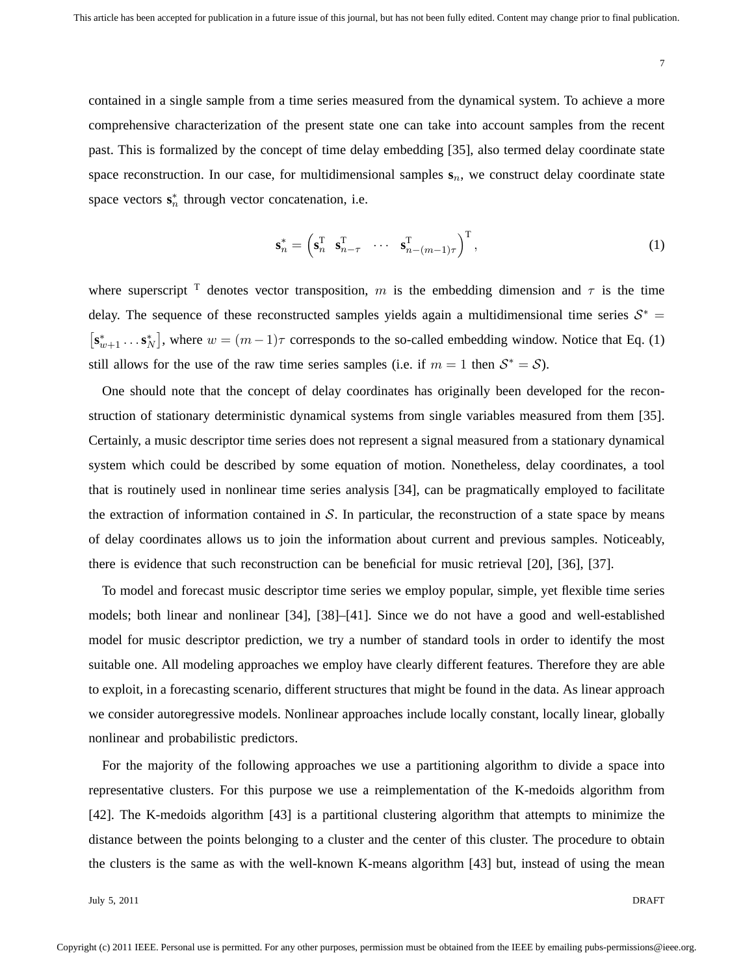contained in a single sample from a time series measured from the dynamical system. To achieve a more comprehensive characterization of the present state one can take into account samples from the recent past. This is formalized by the concept of time delay embedding [35], also termed delay coordinate state space reconstruction. In our case, for multidimensional samples  $s_n$ , we construct delay coordinate state space vectors  $s_n^*$  through vector concatenation, i.e.

$$
\mathbf{s}_n^* = \left(\mathbf{s}_n^{\mathrm{T}} \quad \mathbf{s}_{n-\tau}^{\mathrm{T}} \quad \cdots \quad \mathbf{s}_{n-(m-1)\tau}^{\mathrm{T}}\right)^{\mathrm{T}},\tag{1}
$$

where superscript <sup>T</sup> denotes vector transposition, m is the embedding dimension and  $\tau$  is the time delay. The sequence of these reconstructed samples yields again a multidimensional time series  $S^*$  $\left[\mathbf{s}_{w+1}^* \dots \mathbf{s}_{N}^* \right]$  $N_{N}^{*}$ , where  $w = (m-1)\tau$  corresponds to the so-called embedding window. Notice that Eq. (1) still allows for the use of the raw time series samples (i.e. if  $m = 1$  then  $S^* = S$ ).

One should note that the concept of delay coordinates has originally been developed for the reconstruction of stationary deterministic dynamical systems from single variables measured from them [35]. Certainly, a music descriptor time series does not represent a signal measured from a stationary dynamical system which could be described by some equation of motion. Nonetheless, delay coordinates, a tool that is routinely used in nonlinear time series analysis [34], can be pragmatically employed to facilitate the extraction of information contained in  $S$ . In particular, the reconstruction of a state space by means of delay coordinates allows us to join the information about current and previous samples. Noticeably, there is evidence that such reconstruction can be beneficial for music retrieval [20], [36], [37].

To model and forecast music descriptor time series we employ popular, simple, yet flexible time series models; both linear and nonlinear [34], [38]–[41]. Since we do not have a good and well-established model for music descriptor prediction, we try a number of standard tools in order to identify the most suitable one. All modeling approaches we employ have clearly different features. Therefore they are able to exploit, in a forecasting scenario, different structures that might be found in the data. As linear approach we consider autoregressive models. Nonlinear approaches include locally constant, locally linear, globally nonlinear and probabilistic predictors.

For the majority of the following approaches we use a partitioning algorithm to divide a space into representative clusters. For this purpose we use a reimplementation of the K-medoids algorithm from [42]. The K-medoids algorithm [43] is a partitional clustering algorithm that attempts to minimize the distance between the points belonging to a cluster and the center of this cluster. The procedure to obtain the clusters is the same as with the well-known K-means algorithm [43] but, instead of using the mean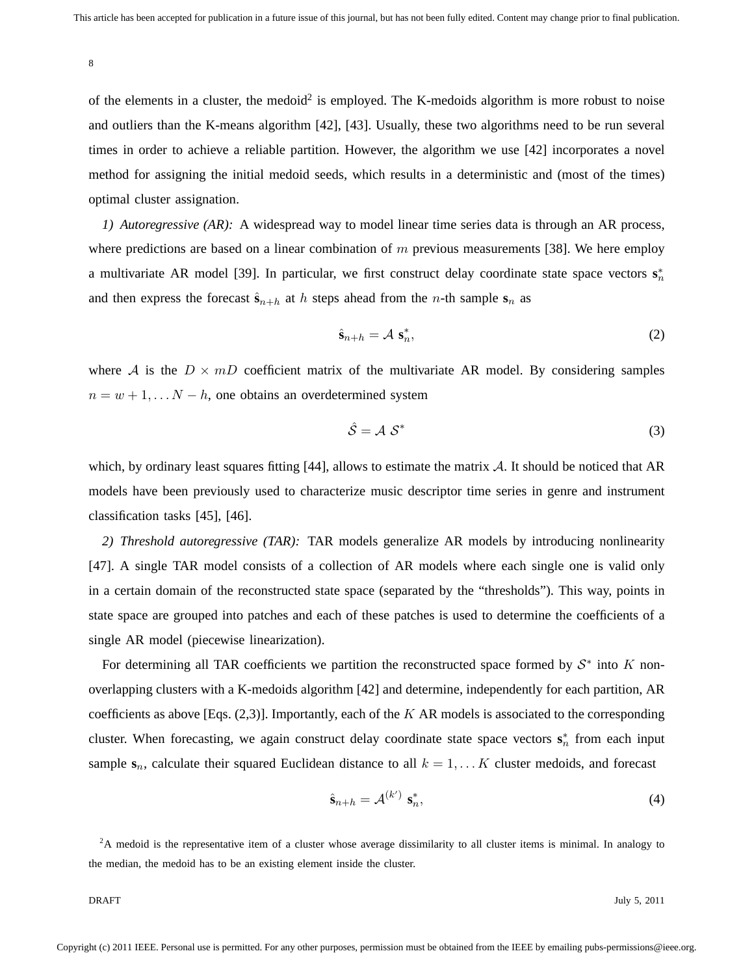of the elements in a cluster, the medoid<sup>2</sup> is employed. The K-medoids algorithm is more robust to noise and outliers than the K-means algorithm [42], [43]. Usually, these two algorithms need to be run several times in order to achieve a reliable partition. However, the algorithm we use [42] incorporates a novel method for assigning the initial medoid seeds, which results in a deterministic and (most of the times) optimal cluster assignation.

*1) Autoregressive (AR):* A widespread way to model linear time series data is through an AR process, where predictions are based on a linear combination of  $m$  previous measurements [38]. We here employ a multivariate AR model [39]. In particular, we first construct delay coordinate state space vectors  $\mathbf{s}_n^*$ and then express the forecast  $\hat{\mathbf{s}}_{n+h}$  at h steps ahead from the n-th sample  $\mathbf{s}_n$  as

$$
\hat{\mathbf{s}}_{n+h} = \mathcal{A} \; \mathbf{s}_n^*, \tag{2}
$$

where A is the  $D \times mD$  coefficient matrix of the multivariate AR model. By considering samples  $n = w + 1, \ldots N - h$ , one obtains an overdetermined system

$$
\hat{S} = A S^* \tag{3}
$$

which, by ordinary least squares fitting [44], allows to estimate the matrix A. It should be noticed that AR models have been previously used to characterize music descriptor time series in genre and instrument classification tasks [45], [46].

*2) Threshold autoregressive (TAR):* TAR models generalize AR models by introducing nonlinearity [47]. A single TAR model consists of a collection of AR models where each single one is valid only in a certain domain of the reconstructed state space (separated by the "thresholds"). This way, points in state space are grouped into patches and each of these patches is used to determine the coefficients of a single AR model (piecewise linearization).

For determining all TAR coefficients we partition the reconstructed space formed by  $S^*$  into K nonoverlapping clusters with a K-medoids algorithm [42] and determine, independently for each partition, AR coefficients as above [Eqs.  $(2,3)$ ]. Importantly, each of the K AR models is associated to the corresponding cluster. When forecasting, we again construct delay coordinate state space vectors  $\mathbf{s}_n^*$  from each input sample  $s_n$ , calculate their squared Euclidean distance to all  $k = 1, \ldots K$  cluster medoids, and forecast

$$
\hat{\mathbf{s}}_{n+h} = \mathcal{A}^{(k')} \ \mathbf{s}_n^*,\tag{4}
$$

 $2A$  medoid is the representative item of a cluster whose average dissimilarity to all cluster items is minimal. In analogy to the median, the medoid has to be an existing element inside the cluster.

DRAFT July 5, 2011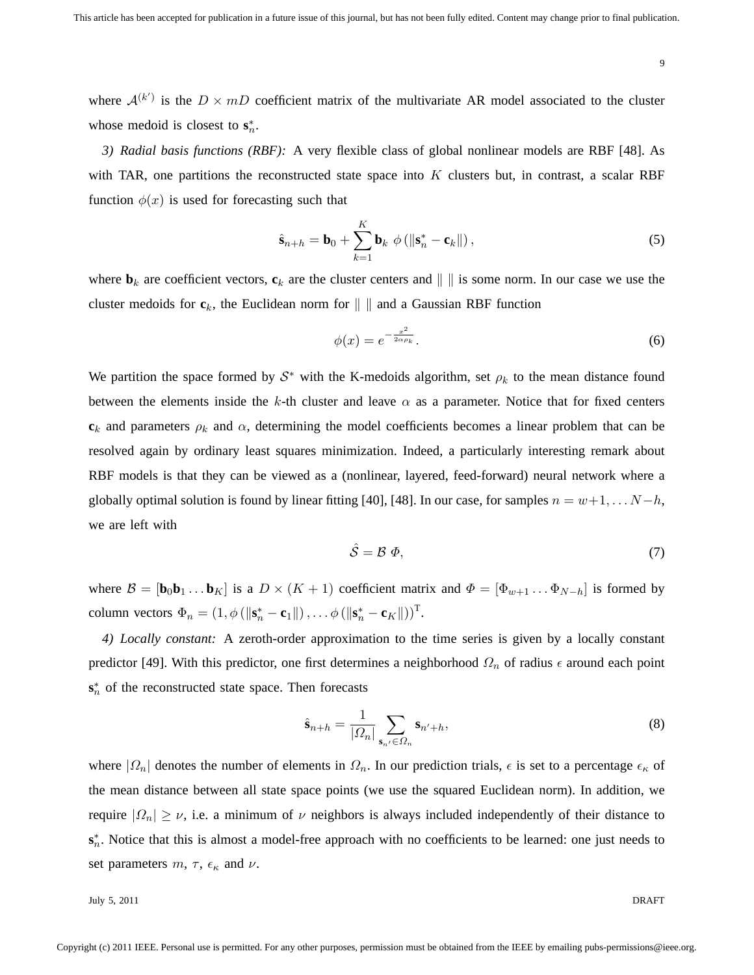where  $A^{(k)}$  is the  $D \times mD$  coefficient matrix of the multivariate AR model associated to the cluster whose medoid is closest to  $s_n^*$ .

*3) Radial basis functions (RBF):* A very flexible class of global nonlinear models are RBF [48]. As with TAR, one partitions the reconstructed state space into  $K$  clusters but, in contrast, a scalar RBF function  $\phi(x)$  is used for forecasting such that

$$
\hat{\mathbf{s}}_{n+h} = \mathbf{b}_0 + \sum_{k=1}^{K} \mathbf{b}_k \phi \left( \|\mathbf{s}_n^* - \mathbf{c}_k\| \right),\tag{5}
$$

where  $\mathbf{b}_k$  are coefficient vectors,  $\mathbf{c}_k$  are the cluster centers and  $\| \cdot \|$  is some norm. In our case we use the cluster medoids for  $c_k$ , the Euclidean norm for  $\| \cdot \|$  and a Gaussian RBF function

$$
\phi(x) = e^{-\frac{x^2}{2\alpha \rho_k}}.\tag{6}
$$

We partition the space formed by  $S^*$  with the K-medoids algorithm, set  $\rho_k$  to the mean distance found between the elements inside the k-th cluster and leave  $\alpha$  as a parameter. Notice that for fixed centers  $c_k$  and parameters  $\rho_k$  and  $\alpha$ , determining the model coefficients becomes a linear problem that can be resolved again by ordinary least squares minimization. Indeed, a particularly interesting remark about RBF models is that they can be viewed as a (nonlinear, layered, feed-forward) neural network where a globally optimal solution is found by linear fitting [40], [48]. In our case, for samples  $n = w+1, \ldots N-h$ , we are left with

$$
\hat{\mathcal{S}} = \mathcal{B} \, \Phi,\tag{7}
$$

where  $\mathcal{B} = [\mathbf{b}_0 \mathbf{b}_1 \dots \mathbf{b}_K]$  is a  $D \times (K + 1)$  coefficient matrix and  $\Phi = [\Phi_{w+1} \dots \Phi_{N-h}]$  is formed by column vectors  $\Phi_n = (1, \phi\left(\|\mathbf{s}_n^* - \mathbf{c}_1\|\right), \dots \phi\left(\|\mathbf{s}_n^* - \mathbf{c}_K\|\right))^{\mathrm{T}}$ .

*4) Locally constant:* A zeroth-order approximation to the time series is given by a locally constant predictor [49]. With this predictor, one first determines a neighborhood  $\Omega_n$  of radius  $\epsilon$  around each point  $\mathbf{s}_n^*$  of the reconstructed state space. Then forecasts

$$
\hat{\mathbf{s}}_{n+h} = \frac{1}{|\Omega_n|} \sum_{\mathbf{s}_{n'} \in \Omega_n} \mathbf{s}_{n'+h},\tag{8}
$$

where  $|\Omega_n|$  denotes the number of elements in  $\Omega_n$ . In our prediction trials,  $\epsilon$  is set to a percentage  $\epsilon_{\kappa}$  of the mean distance between all state space points (we use the squared Euclidean norm). In addition, we require  $|\Omega_n| \geq \nu$ , i.e. a minimum of  $\nu$  neighbors is always included independently of their distance to s<sup>\*</sup><sub>n</sub>. Notice that this is almost a model-free approach with no coefficients to be learned: one just needs to set parameters  $m, \tau, \epsilon_{\kappa}$  and  $\nu$ .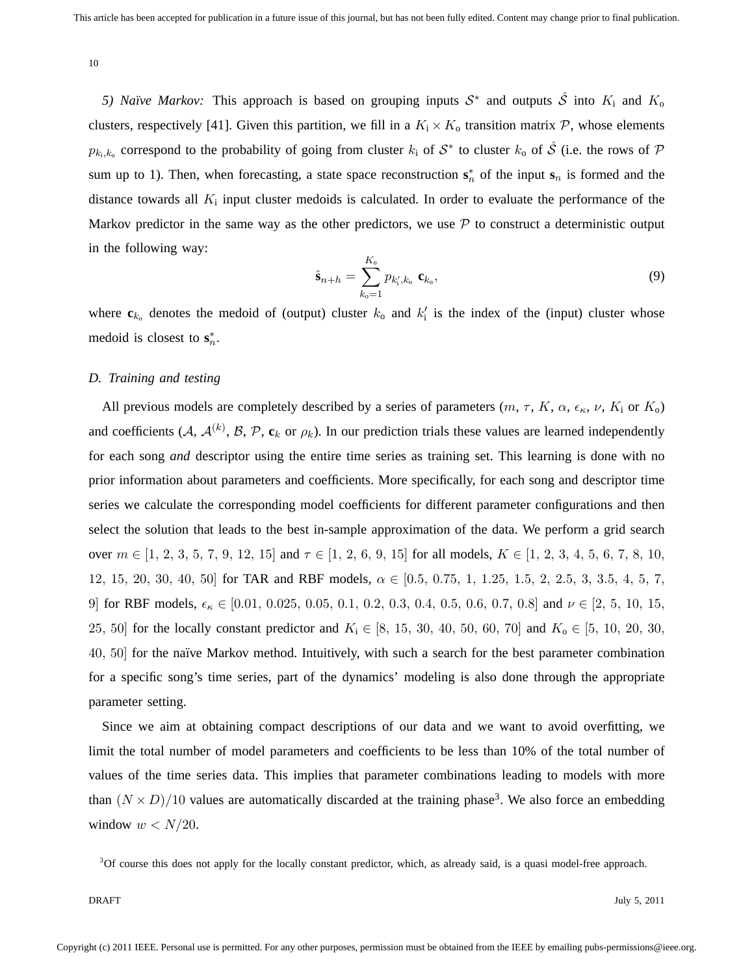5) Naïve Markov: This approach is based on grouping inputs  $S^*$  and outputs  $\hat{S}$  into  $K_i$  and  $K_0$ clusters, respectively [41]. Given this partition, we fill in a  $K_i \times K_0$  transition matrix  $P$ , whose elements  $p_{k_i,k_o}$  correspond to the probability of going from cluster  $k_i$  of  $S^*$  to cluster  $k_o$  of  $\hat{S}$  (i.e. the rows of  $P$ sum up to 1). Then, when forecasting, a state space reconstruction  $s_n^*$  of the input  $s_n$  is formed and the distance towards all  $K_i$  input cluster medoids is calculated. In order to evaluate the performance of the Markov predictor in the same way as the other predictors, we use  $P$  to construct a deterministic output in the following way:

$$
\hat{\mathbf{s}}_{n+h} = \sum_{k_{o}=1}^{K_{o}} p_{k'_{i},k_{o}} \, \mathbf{c}_{k_{o}},\tag{9}
$$

where  $\mathbf{c}_{k_0}$  denotes the medoid of (output) cluster  $k_0$  and  $k'_1$  is the index of the (input) cluster whose medoid is closest to  $s_n^*$ .

# *D. Training and testing*

All previous models are completely described by a series of parameters  $(m, \tau, K, \alpha, \epsilon_{\kappa}, \nu, K_{i} \text{ or } K_{0})$ and coefficients (*A*,  $A^{(k)}$ , B, P,  $\mathbf{c}_k$  or  $\rho_k$ ). In our prediction trials these values are learned independently for each song *and* descriptor using the entire time series as training set. This learning is done with no prior information about parameters and coefficients. More specifically, for each song and descriptor time series we calculate the corresponding model coefficients for different parameter configurations and then select the solution that leads to the best in-sample approximation of the data. We perform a grid search over  $m \in [1, 2, 3, 5, 7, 9, 12, 15]$  and  $\tau \in [1, 2, 6, 9, 15]$  for all models,  $K \in [1, 2, 3, 4, 5, 6, 7, 8, 10, 10]$ 12, 15, 20, 30, 40, 50] for TAR and RBF models,  $\alpha \in [0.5, 0.75, 1, 1.25, 1.5, 2, 2.5, 3, 3.5, 4, 5, 7,$ 9] for RBF models,  $\epsilon_{\kappa} \in [0.01, 0.025, 0.05, 0.1, 0.2, 0.3, 0.4, 0.5, 0.6, 0.7, 0.8]$  and  $\nu \in [2, 5, 10, 15,$ 25, 50] for the locally constant predictor and  $K_i \in [8, 15, 30, 40, 50, 60, 70]$  and  $K_o \in [5, 10, 20, 30, 60]$ 40, 50] for the na¨ıve Markov method. Intuitively, with such a search for the best parameter combination for a specific song's time series, part of the dynamics' modeling is also done through the appropriate parameter setting.

Since we aim at obtaining compact descriptions of our data and we want to avoid overfitting, we limit the total number of model parameters and coefficients to be less than 10% of the total number of values of the time series data. This implies that parameter combinations leading to models with more than  $(N \times D)/10$  values are automatically discarded at the training phase<sup>3</sup>. We also force an embedding window  $w < N/20$ .

<sup>3</sup>Of course this does not apply for the locally constant predictor, which, as already said, is a quasi model-free approach.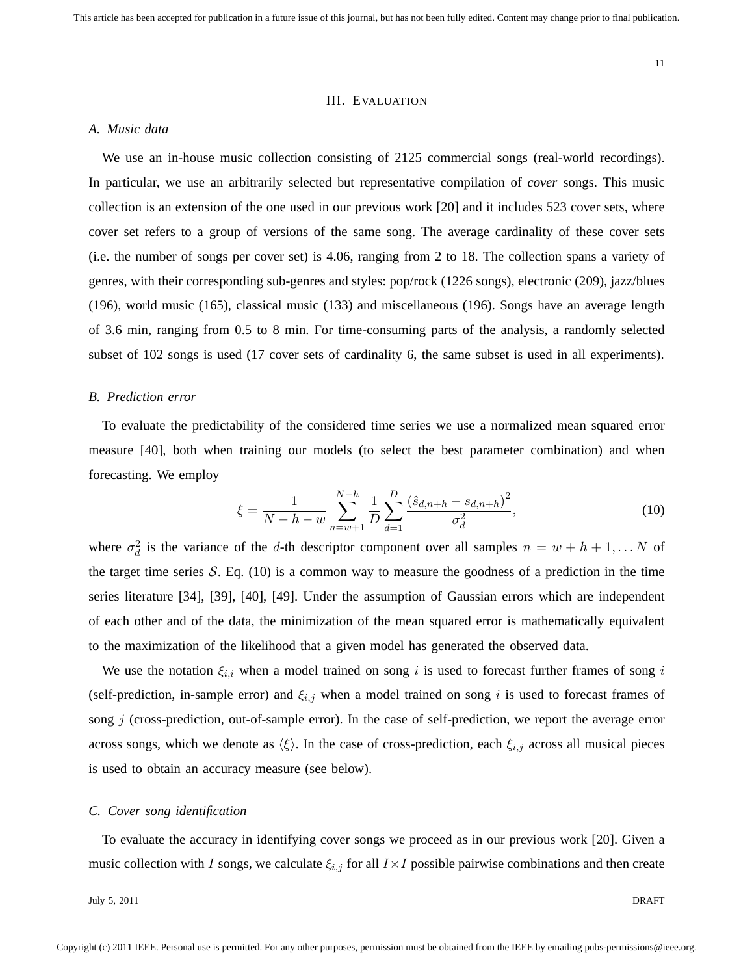### III. EVALUATION

# *A. Music data*

We use an in-house music collection consisting of 2125 commercial songs (real-world recordings). In particular, we use an arbitrarily selected but representative compilation of *cover* songs. This music collection is an extension of the one used in our previous work [20] and it includes 523 cover sets, where cover set refers to a group of versions of the same song. The average cardinality of these cover sets (i.e. the number of songs per cover set) is 4.06, ranging from 2 to 18. The collection spans a variety of genres, with their corresponding sub-genres and styles: pop/rock (1226 songs), electronic (209), jazz/blues (196), world music (165), classical music (133) and miscellaneous (196). Songs have an average length of 3.6 min, ranging from 0.5 to 8 min. For time-consuming parts of the analysis, a randomly selected subset of 102 songs is used (17 cover sets of cardinality 6, the same subset is used in all experiments).

#### *B. Prediction error*

To evaluate the predictability of the considered time series we use a normalized mean squared error measure [40], both when training our models (to select the best parameter combination) and when forecasting. We employ

$$
\xi = \frac{1}{N - h - w} \sum_{n = w + 1}^{N - h} \frac{1}{D} \sum_{d = 1}^{D} \frac{(\hat{s}_{d, n + h} - s_{d, n + h})^2}{\sigma_d^2},\tag{10}
$$

where  $\sigma_d^2$  is the variance of the d-th descriptor component over all samples  $n = w + h + 1, \ldots N$  of the target time series S. Eq. (10) is a common way to measure the goodness of a prediction in the time series literature [34], [39], [40], [49]. Under the assumption of Gaussian errors which are independent of each other and of the data, the minimization of the mean squared error is mathematically equivalent to the maximization of the likelihood that a given model has generated the observed data.

We use the notation  $\xi_{i,i}$  when a model trained on song i is used to forecast further frames of song i (self-prediction, in-sample error) and  $\xi_{i,j}$  when a model trained on song i is used to forecast frames of song *j* (cross-prediction, out-of-sample error). In the case of self-prediction, we report the average error across songs, which we denote as  $\langle \xi \rangle$ . In the case of cross-prediction, each  $\xi_{i,j}$  across all musical pieces is used to obtain an accuracy measure (see below).

# *C. Cover song identification*

To evaluate the accuracy in identifying cover songs we proceed as in our previous work [20]. Given a music collection with I songs, we calculate  $\xi_{i,j}$  for all  $I \times I$  possible pairwise combinations and then create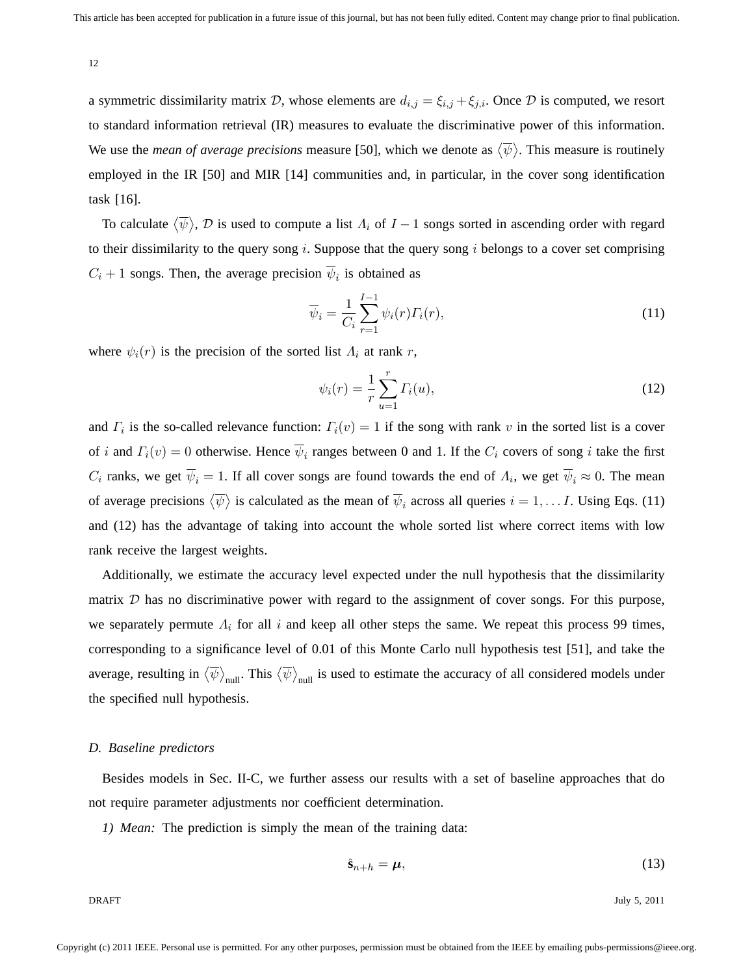a symmetric dissimilarity matrix D, whose elements are  $d_{i,j} = \xi_{i,j} + \xi_{j,i}$ . Once D is computed, we resort to standard information retrieval (IR) measures to evaluate the discriminative power of this information. We use the *mean of average precisions* measure [50], which we denote as  $\langle \overline{\psi} \rangle$ . This measure is routinely employed in the IR [50] and MIR [14] communities and, in particular, in the cover song identification task [16].

To calculate  $\langle \overline{\psi} \rangle$ ,  $\cal D$  is used to compute a list  $\Lambda_i$  of  $I-1$  songs sorted in ascending order with regard to their dissimilarity to the query song  $i$ . Suppose that the query song  $i$  belongs to a cover set comprising  $C_i + 1$  songs. Then, the average precision  $\psi_i$  is obtained as

$$
\overline{\psi}_i = \frac{1}{C_i} \sum_{r=1}^{I-1} \psi_i(r) \Gamma_i(r), \qquad (11)
$$

where  $\psi_i(r)$  is the precision of the sorted list  $\Lambda_i$  at rank r,

$$
\psi_i(r) = \frac{1}{r} \sum_{u=1}^r \Gamma_i(u),\tag{12}
$$

and  $\Gamma_i$  is the so-called relevance function:  $\Gamma_i(v) = 1$  if the song with rank v in the sorted list is a cover of *i* and  $\Gamma_i(v) = 0$  otherwise. Hence  $\psi_i$  ranges between 0 and 1. If the  $C_i$  covers of song *i* take the first  $C_i$  ranks, we get  $\psi_i = 1$ . If all cover songs are found towards the end of  $\Lambda_i$ , we get  $\psi_i \approx 0$ . The mean of average precisions  $\langle \overline{\psi} \rangle$  is calculated as the mean of  $\overline{\psi}_i$  across all queries  $i = 1, \dots I$ . Using Eqs. (11) and (12) has the advantage of taking into account the whole sorted list where correct items with low rank receive the largest weights.

Additionally, we estimate the accuracy level expected under the null hypothesis that the dissimilarity matrix  $D$  has no discriminative power with regard to the assignment of cover songs. For this purpose, we separately permute  $\Lambda_i$  for all i and keep all other steps the same. We repeat this process 99 times, corresponding to a significance level of 0.01 of this Monte Carlo null hypothesis test [51], and take the average, resulting in  $\langle \overline{\psi} \rangle_{\text{null}}$ . This  $\langle \overline{\psi} \rangle_{\text{null}}$  is used to estimate the accuracy of all considered models under the specified null hypothesis.

#### *D. Baseline predictors*

Besides models in Sec. II-C, we further assess our results with a set of baseline approaches that do not require parameter adjustments nor coefficient determination.

*1) Mean:* The prediction is simply the mean of the training data:

$$
\hat{\mathbf{s}}_{n+h} = \boldsymbol{\mu},\tag{13}
$$

DRAFT July 5, 2011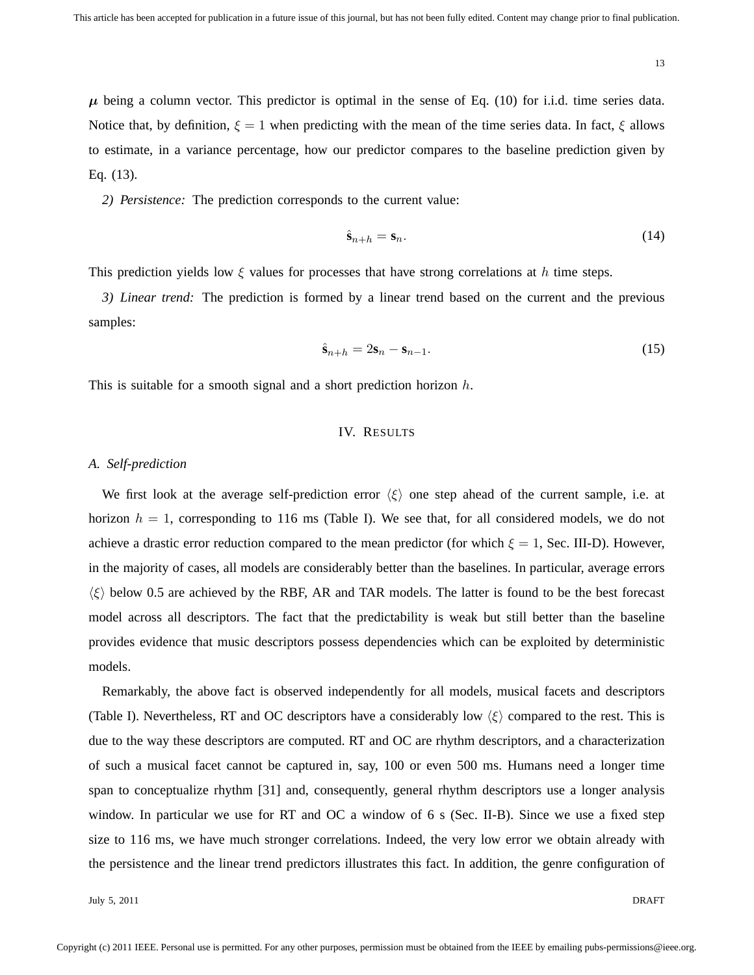$\mu$  being a column vector. This predictor is optimal in the sense of Eq. (10) for i.i.d. time series data. Notice that, by definition,  $\xi = 1$  when predicting with the mean of the time series data. In fact,  $\xi$  allows to estimate, in a variance percentage, how our predictor compares to the baseline prediction given by Eq. (13).

*2) Persistence:* The prediction corresponds to the current value:

$$
\hat{\mathbf{s}}_{n+h} = \mathbf{s}_n. \tag{14}
$$

This prediction yields low  $\xi$  values for processes that have strong correlations at h time steps.

*3) Linear trend:* The prediction is formed by a linear trend based on the current and the previous samples:

$$
\hat{\mathbf{s}}_{n+h} = 2\mathbf{s}_n - \mathbf{s}_{n-1}.\tag{15}
$$

This is suitable for a smooth signal and a short prediction horizon h.

# IV. RESULTS

#### *A. Self-prediction*

We first look at the average self-prediction error  $\langle \xi \rangle$  one step ahead of the current sample, i.e. at horizon  $h = 1$ , corresponding to 116 ms (Table I). We see that, for all considered models, we do not achieve a drastic error reduction compared to the mean predictor (for which  $\xi = 1$ , Sec. III-D). However, in the majority of cases, all models are considerably better than the baselines. In particular, average errors  $\langle \xi \rangle$  below 0.5 are achieved by the RBF, AR and TAR models. The latter is found to be the best forecast model across all descriptors. The fact that the predictability is weak but still better than the baseline provides evidence that music descriptors possess dependencies which can be exploited by deterministic models.

Remarkably, the above fact is observed independently for all models, musical facets and descriptors (Table I). Nevertheless, RT and OC descriptors have a considerably low  $\langle \xi \rangle$  compared to the rest. This is due to the way these descriptors are computed. RT and OC are rhythm descriptors, and a characterization of such a musical facet cannot be captured in, say, 100 or even 500 ms. Humans need a longer time span to conceptualize rhythm [31] and, consequently, general rhythm descriptors use a longer analysis window. In particular we use for RT and OC a window of 6 s (Sec. II-B). Since we use a fixed step size to 116 ms, we have much stronger correlations. Indeed, the very low error we obtain already with the persistence and the linear trend predictors illustrates this fact. In addition, the genre configuration of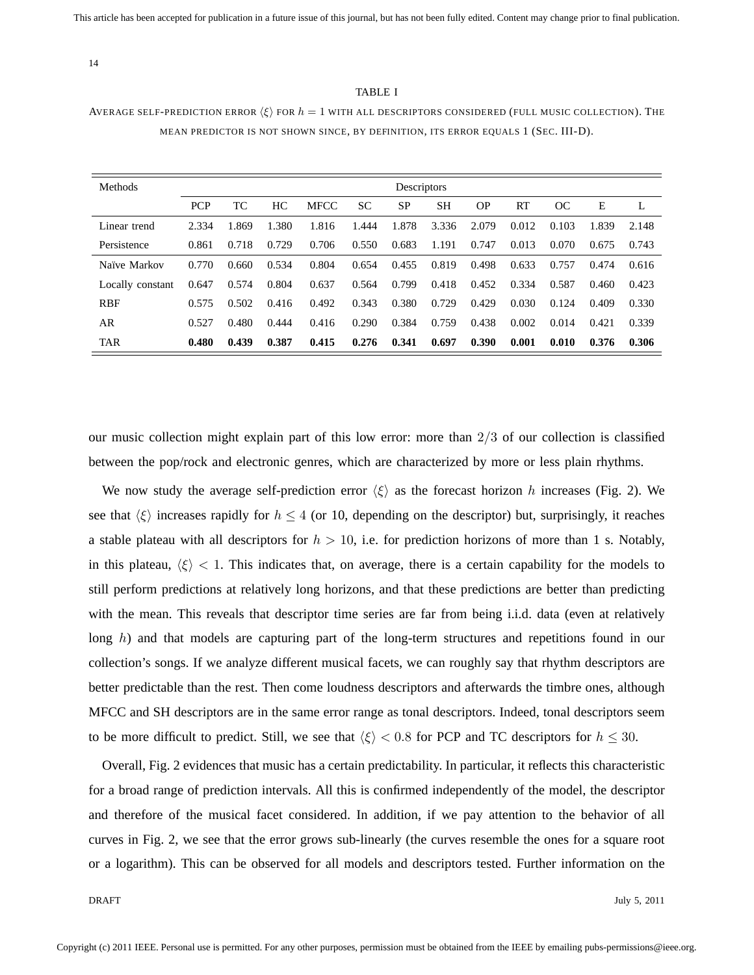# TABLE I

| AVERAGE SELF-PREDICTION ERROR $\langle \xi \rangle$ for $h = 1$ with all descriptors considered (full music collection). The |  |
|------------------------------------------------------------------------------------------------------------------------------|--|
| MEAN PREDICTOR IS NOT SHOWN SINCE, BY DEFINITION, ITS ERROR EQUALS 1 (SEC. III-D).                                           |  |

| Methods          | Descriptors |       |       |             |           |           |           |           |       |       |       |       |
|------------------|-------------|-------|-------|-------------|-----------|-----------|-----------|-----------|-------|-------|-------|-------|
|                  | <b>PCP</b>  | TC    | HC    | <b>MFCC</b> | <b>SC</b> | <b>SP</b> | <b>SH</b> | <b>OP</b> | RT    | OC    | Е     |       |
| Linear trend     | 2.334       | 1.869 | 1.380 | 1.816       | 1.444     | 1.878     | 3.336     | 2.079     | 0.012 | 0.103 | 1.839 | 2.148 |
| Persistence      | 0.861       | 0.718 | 0.729 | 0.706       | 0.550     | 0.683     | 1.191     | 0.747     | 0.013 | 0.070 | 0.675 | 0.743 |
| Naïve Markov     | 0.770       | 0.660 | 0.534 | 0.804       | 0.654     | 0.455     | 0.819     | 0.498     | 0.633 | 0.757 | 0.474 | 0.616 |
| Locally constant | 0.647       | 0.574 | 0.804 | 0.637       | 0.564     | 0.799     | 0.418     | 0.452     | 0.334 | 0.587 | 0.460 | 0.423 |
| <b>RBF</b>       | 0.575       | 0.502 | 0.416 | 0.492       | 0.343     | 0.380     | 0.729     | 0.429     | 0.030 | 0.124 | 0.409 | 0.330 |
| AR               | 0.527       | 0.480 | 0.444 | 0.416       | 0.290     | 0.384     | 0.759     | 0.438     | 0.002 | 0.014 | 0.421 | 0.339 |
| <b>TAR</b>       | 0.480       | 0.439 | 0.387 | 0.415       | 0.276     | 0.341     | 0.697     | 0.390     | 0.001 | 0.010 | 0.376 | 0.306 |

our music collection might explain part of this low error: more than 2/3 of our collection is classified between the pop/rock and electronic genres, which are characterized by more or less plain rhythms.

We now study the average self-prediction error  $\langle \xi \rangle$  as the forecast horizon h increases (Fig. 2). We see that  $\langle \xi \rangle$  increases rapidly for  $h \leq 4$  (or 10, depending on the descriptor) but, surprisingly, it reaches a stable plateau with all descriptors for  $h > 10$ , i.e. for prediction horizons of more than 1 s. Notably, in this plateau,  $\langle \xi \rangle$  < 1. This indicates that, on average, there is a certain capability for the models to still perform predictions at relatively long horizons, and that these predictions are better than predicting with the mean. This reveals that descriptor time series are far from being i.i.d. data (even at relatively long h) and that models are capturing part of the long-term structures and repetitions found in our collection's songs. If we analyze different musical facets, we can roughly say that rhythm descriptors are better predictable than the rest. Then come loudness descriptors and afterwards the timbre ones, although MFCC and SH descriptors are in the same error range as tonal descriptors. Indeed, tonal descriptors seem to be more difficult to predict. Still, we see that  $\langle \xi \rangle < 0.8$  for PCP and TC descriptors for  $h \leq 30$ .

Overall, Fig. 2 evidences that music has a certain predictability. In particular, it reflects this characteristic for a broad range of prediction intervals. All this is confirmed independently of the model, the descriptor and therefore of the musical facet considered. In addition, if we pay attention to the behavior of all curves in Fig. 2, we see that the error grows sub-linearly (the curves resemble the ones for a square root or a logarithm). This can be observed for all models and descriptors tested. Further information on the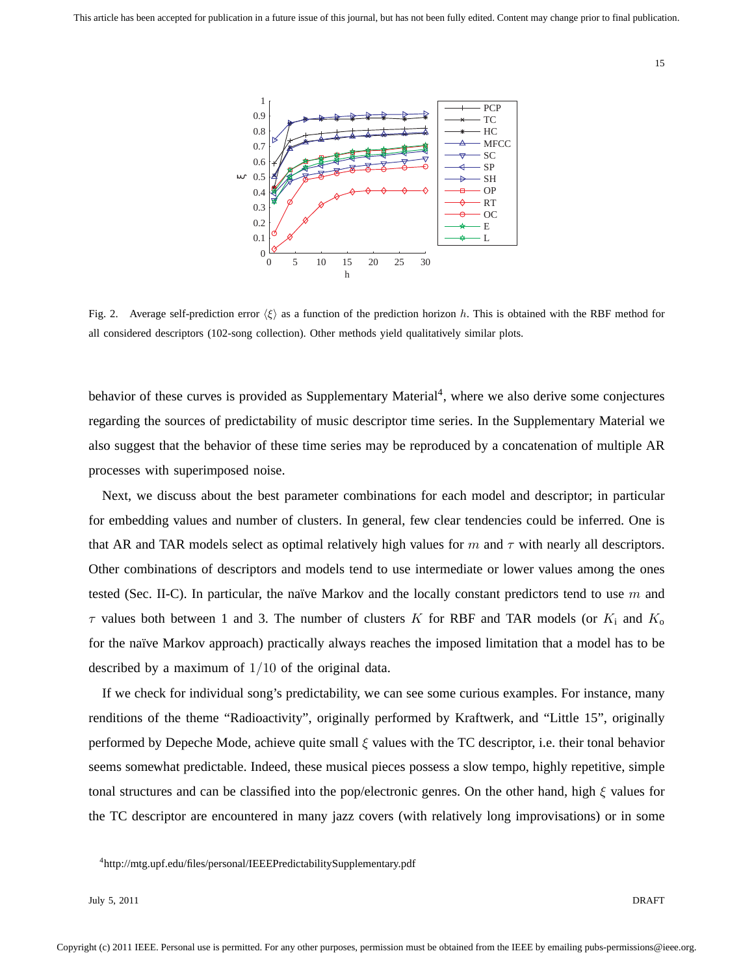

Fig. 2. Average self-prediction error  $\langle \xi \rangle$  as a function of the prediction horizon h. This is obtained with the RBF method for all considered descriptors (102-song collection). Other methods yield qualitatively similar plots.

behavior of these curves is provided as Supplementary Material<sup>4</sup>, where we also derive some conjectures regarding the sources of predictability of music descriptor time series. In the Supplementary Material we also suggest that the behavior of these time series may be reproduced by a concatenation of multiple AR processes with superimposed noise.

Next, we discuss about the best parameter combinations for each model and descriptor; in particular for embedding values and number of clusters. In general, few clear tendencies could be inferred. One is that AR and TAR models select as optimal relatively high values for m and  $\tau$  with nearly all descriptors. Other combinations of descriptors and models tend to use intermediate or lower values among the ones tested (Sec. II-C). In particular, the naïve Markov and the locally constant predictors tend to use  $m$  and  $\tau$  values both between 1 and 3. The number of clusters K for RBF and TAR models (or  $K_i$  and  $K_o$ for the naïve Markov approach) practically always reaches the imposed limitation that a model has to be described by a maximum of 1/10 of the original data.

If we check for individual song's predictability, we can see some curious examples. For instance, many renditions of the theme "Radioactivity", originally performed by Kraftwerk, and "Little 15", originally performed by Depeche Mode, achieve quite small  $\xi$  values with the TC descriptor, i.e. their tonal behavior seems somewhat predictable. Indeed, these musical pieces possess a slow tempo, highly repetitive, simple tonal structures and can be classified into the pop/electronic genres. On the other hand, high  $\xi$  values for the TC descriptor are encountered in many jazz covers (with relatively long improvisations) or in some

4 http://mtg.upf.edu/files/personal/IEEEPredictabilitySupplementary.pdf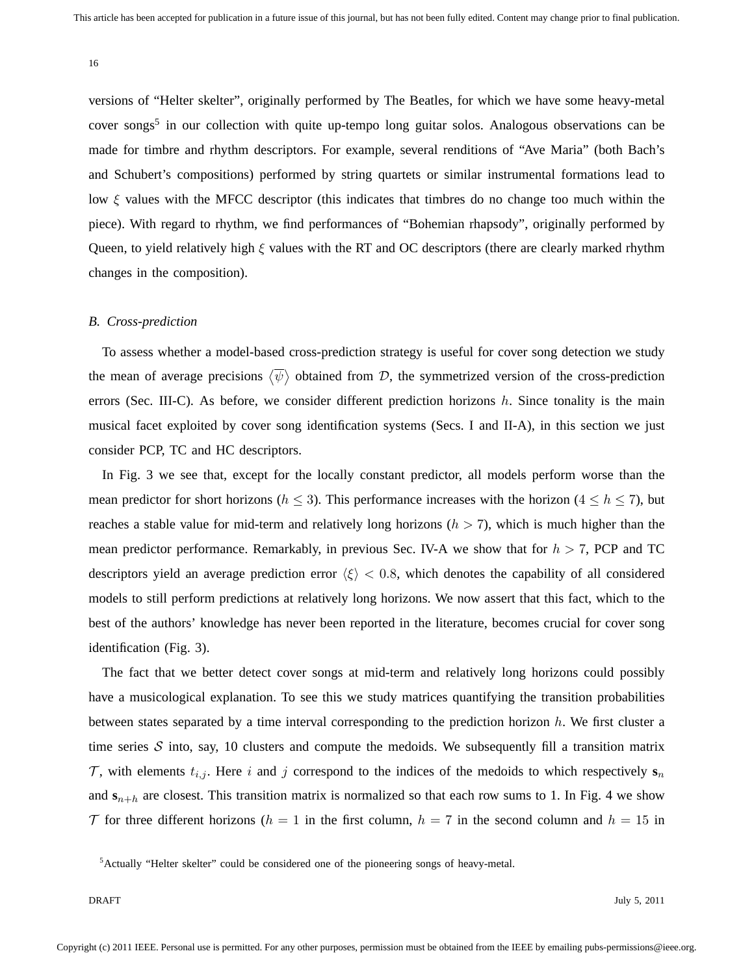versions of "Helter skelter", originally performed by The Beatles, for which we have some heavy-metal cover songs<sup>5</sup> in our collection with quite up-tempo long guitar solos. Analogous observations can be made for timbre and rhythm descriptors. For example, several renditions of "Ave Maria" (both Bach's and Schubert's compositions) performed by string quartets or similar instrumental formations lead to low ξ values with the MFCC descriptor (this indicates that timbres do no change too much within the piece). With regard to rhythm, we find performances of "Bohemian rhapsody", originally performed by Queen, to yield relatively high  $\xi$  values with the RT and OC descriptors (there are clearly marked rhythm changes in the composition).

#### *B. Cross-prediction*

To assess whether a model-based cross-prediction strategy is useful for cover song detection we study the mean of average precisions  $\langle \overline{\psi} \rangle$  obtained from D, the symmetrized version of the cross-prediction errors (Sec. III-C). As before, we consider different prediction horizons  $h$ . Since tonality is the main musical facet exploited by cover song identification systems (Secs. I and II-A), in this section we just consider PCP, TC and HC descriptors.

In Fig. 3 we see that, except for the locally constant predictor, all models perform worse than the mean predictor for short horizons ( $h \leq 3$ ). This performance increases with the horizon ( $4 \leq h \leq 7$ ), but reaches a stable value for mid-term and relatively long horizons  $(h > 7)$ , which is much higher than the mean predictor performance. Remarkably, in previous Sec. IV-A we show that for  $h > 7$ , PCP and TC descriptors yield an average prediction error  $\langle \xi \rangle$  < 0.8, which denotes the capability of all considered models to still perform predictions at relatively long horizons. We now assert that this fact, which to the best of the authors' knowledge has never been reported in the literature, becomes crucial for cover song identification (Fig. 3).

The fact that we better detect cover songs at mid-term and relatively long horizons could possibly have a musicological explanation. To see this we study matrices quantifying the transition probabilities between states separated by a time interval corresponding to the prediction horizon  $h$ . We first cluster a time series  $S$  into, say, 10 clusters and compute the medoids. We subsequently fill a transition matrix  $\mathcal{T}$ , with elements  $t_{i,j}$ . Here i and j correspond to the indices of the medoids to which respectively  $\mathbf{s}_n$ and  $s_{n+h}$  are closest. This transition matrix is normalized so that each row sums to 1. In Fig. 4 we show T for three different horizons ( $h = 1$  in the first column,  $h = 7$  in the second column and  $h = 15$  in

<sup>&</sup>lt;sup>5</sup>Actually "Helter skelter" could be considered one of the pioneering songs of heavy-metal.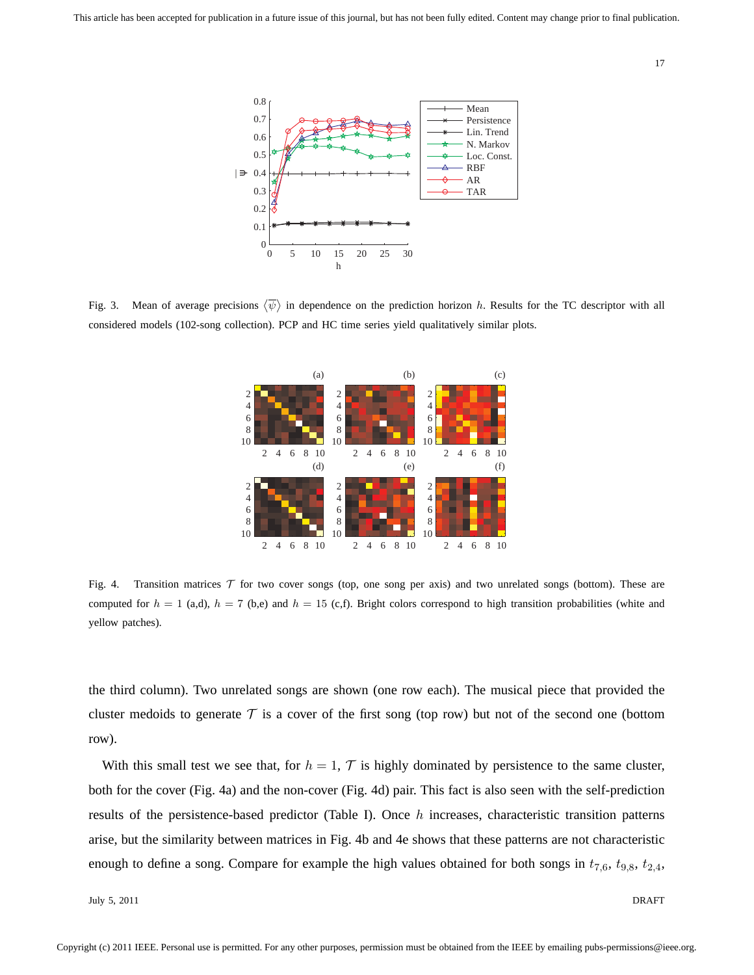



Fig. 3. Mean of average precisions  $\langle \overline{\psi} \rangle$  in dependence on the prediction horizon h. Results for the TC descriptor with all considered models (102-song collection). PCP and HC time series yield qualitatively similar plots.



Fig. 4. Transition matrices  $\mathcal T$  for two cover songs (top, one song per axis) and two unrelated songs (bottom). These are computed for  $h = 1$  (a,d),  $h = 7$  (b,e) and  $h = 15$  (c,f). Bright colors correspond to high transition probabilities (white and yellow patches).

the third column). Two unrelated songs are shown (one row each). The musical piece that provided the cluster medoids to generate  $\mathcal T$  is a cover of the first song (top row) but not of the second one (bottom row).

With this small test we see that, for  $h = 1$ ,  $T$  is highly dominated by persistence to the same cluster, both for the cover (Fig. 4a) and the non-cover (Fig. 4d) pair. This fact is also seen with the self-prediction results of the persistence-based predictor (Table I). Once  $h$  increases, characteristic transition patterns arise, but the similarity between matrices in Fig. 4b and 4e shows that these patterns are not characteristic enough to define a song. Compare for example the high values obtained for both songs in  $t_{7,6}$ ,  $t_{9,8}$ ,  $t_{2,4}$ ,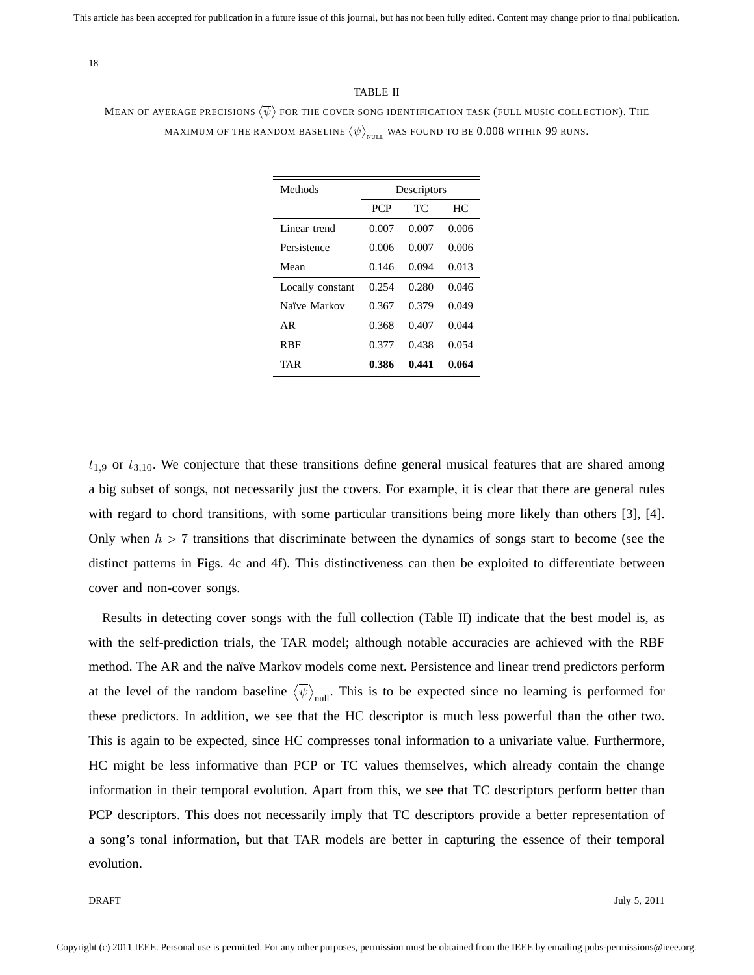# TABLE II

MEAN OF AVERAGE PRECISIONS  $\langle \overline{\psi} \rangle$  for the cover song identification task (full music collection). The maximum of the random baseline  $\left<\overline{\psi}\right>_{\!\scriptscriptstyle\rm NULL}$  was found to be 0.008 within 99 runs.

| Methods          | Descriptors |       |       |  |  |  |  |
|------------------|-------------|-------|-------|--|--|--|--|
|                  | <b>PCP</b>  | TC.   | HC.   |  |  |  |  |
| Linear trend     | 0.007       | 0.007 | 0.006 |  |  |  |  |
| Persistence      | 0.006       | 0.007 | 0.006 |  |  |  |  |
| Mean             | 0.146       | 0.094 | 0.013 |  |  |  |  |
| Locally constant | 0.254       | 0.280 | 0.046 |  |  |  |  |
| Naïve Markov     | 0.367       | 0.379 | 0.049 |  |  |  |  |
| AR               | 0.368       | 0.407 | 0.044 |  |  |  |  |
| RBF              | 0.377       | 0.438 | 0.054 |  |  |  |  |
| TAR              | 0.386       | 0.441 | 0.064 |  |  |  |  |

 $t_{1,9}$  or  $t_{3,10}$ . We conjecture that these transitions define general musical features that are shared among a big subset of songs, not necessarily just the covers. For example, it is clear that there are general rules with regard to chord transitions, with some particular transitions being more likely than others [3], [4]. Only when  $h > 7$  transitions that discriminate between the dynamics of songs start to become (see the distinct patterns in Figs. 4c and 4f). This distinctiveness can then be exploited to differentiate between cover and non-cover songs.

Results in detecting cover songs with the full collection (Table II) indicate that the best model is, as with the self-prediction trials, the TAR model; although notable accuracies are achieved with the RBF method. The AR and the naïve Markov models come next. Persistence and linear trend predictors perform at the level of the random baseline  $\langle \overline{\psi} \rangle_{null}$ . This is to be expected since no learning is performed for these predictors. In addition, we see that the HC descriptor is much less powerful than the other two. This is again to be expected, since HC compresses tonal information to a univariate value. Furthermore, HC might be less informative than PCP or TC values themselves, which already contain the change information in their temporal evolution. Apart from this, we see that TC descriptors perform better than PCP descriptors. This does not necessarily imply that TC descriptors provide a better representation of a song's tonal information, but that TAR models are better in capturing the essence of their temporal evolution.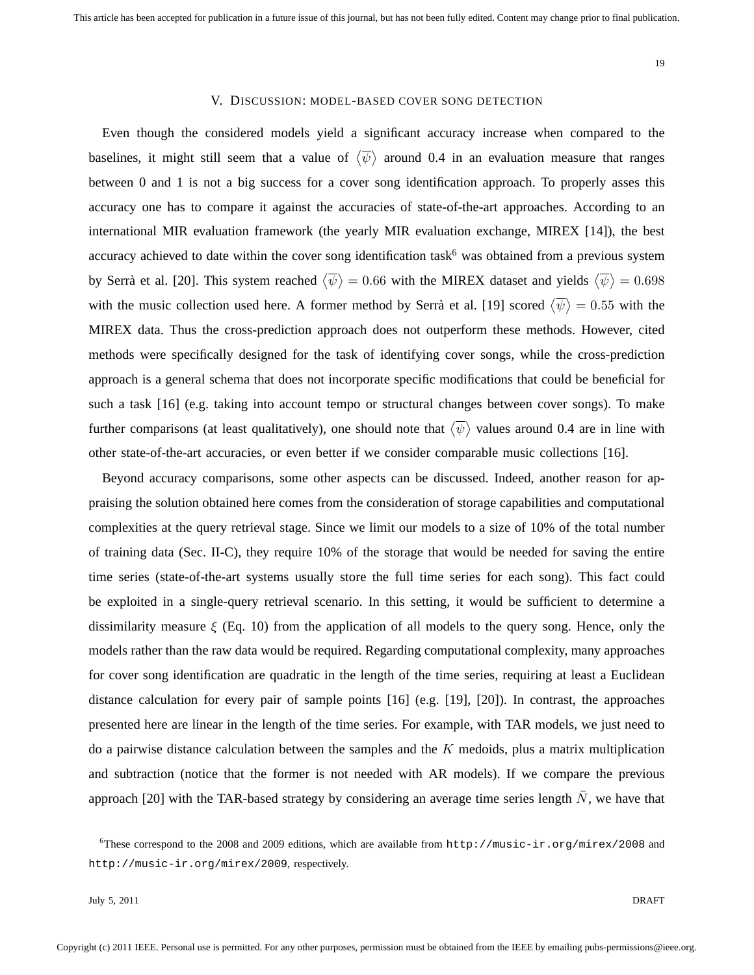## V. DISCUSSION: MODEL-BASED COVER SONG DETECTION

Even though the considered models yield a significant accuracy increase when compared to the baselines, it might still seem that a value of  $\langle \overline{\psi} \rangle$  around 0.4 in an evaluation measure that ranges between 0 and 1 is not a big success for a cover song identification approach. To properly asses this accuracy one has to compare it against the accuracies of state-of-the-art approaches. According to an international MIR evaluation framework (the yearly MIR evaluation exchange, MIREX [14]), the best accuracy achieved to date within the cover song identification task<sup>6</sup> was obtained from a previous system by Serrà et al. [20]. This system reached  $\langle \overline{\psi} \rangle = 0.66$  with the MIREX dataset and yields  $\langle \overline{\psi} \rangle = 0.698$ with the music collection used here. A former method by Serrà et al. [19] scored  $\langle \overline{\psi} \rangle = 0.55$  with the MIREX data. Thus the cross-prediction approach does not outperform these methods. However, cited methods were specifically designed for the task of identifying cover songs, while the cross-prediction approach is a general schema that does not incorporate specific modifications that could be beneficial for such a task [16] (e.g. taking into account tempo or structural changes between cover songs). To make further comparisons (at least qualitatively), one should note that  $\langle \overline{\psi} \rangle$  values around 0.4 are in line with other state-of-the-art accuracies, or even better if we consider comparable music collections [16].

Beyond accuracy comparisons, some other aspects can be discussed. Indeed, another reason for appraising the solution obtained here comes from the consideration of storage capabilities and computational complexities at the query retrieval stage. Since we limit our models to a size of 10% of the total number of training data (Sec. II-C), they require 10% of the storage that would be needed for saving the entire time series (state-of-the-art systems usually store the full time series for each song). This fact could be exploited in a single-query retrieval scenario. In this setting, it would be sufficient to determine a dissimilarity measure  $\xi$  (Eq. 10) from the application of all models to the query song. Hence, only the models rather than the raw data would be required. Regarding computational complexity, many approaches for cover song identification are quadratic in the length of the time series, requiring at least a Euclidean distance calculation for every pair of sample points [16] (e.g. [19], [20]). In contrast, the approaches presented here are linear in the length of the time series. For example, with TAR models, we just need to do a pairwise distance calculation between the samples and the  $K$  medoids, plus a matrix multiplication and subtraction (notice that the former is not needed with AR models). If we compare the previous approach [20] with the TAR-based strategy by considering an average time series length  $\bar{N}$ , we have that

<sup>&</sup>lt;sup>6</sup>These correspond to the 2008 and 2009 editions, which are available from  $http://music-ir.org/mirex/2008$  and http://music-ir.org/mirex/2009, respectively.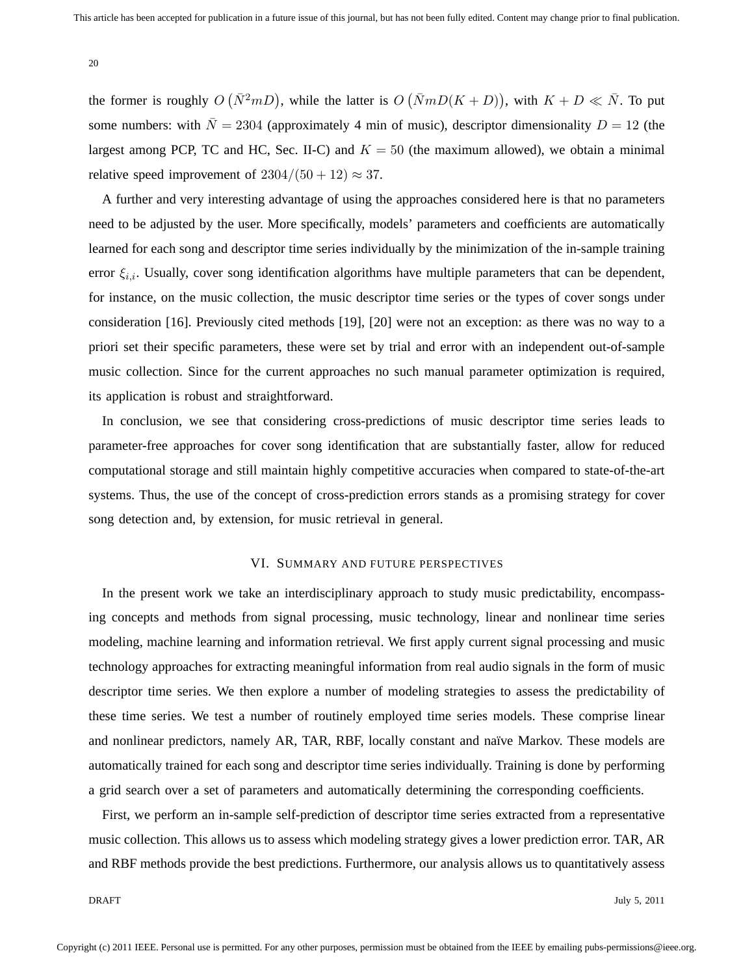the former is roughly  $O(N^2mD)$ , while the latter is  $O(NmD(K+D))$ , with  $K+D \ll N$ . To put some numbers: with  $\overline{N} = 2304$  (approximately 4 min of music), descriptor dimensionality  $D = 12$  (the largest among PCP, TC and HC, Sec. II-C) and  $K = 50$  (the maximum allowed), we obtain a minimal relative speed improvement of  $2304/(50 + 12) \approx 37$ .

A further and very interesting advantage of using the approaches considered here is that no parameters need to be adjusted by the user. More specifically, models' parameters and coefficients are automatically learned for each song and descriptor time series individually by the minimization of the in-sample training error  $\xi_{i,i}$ . Usually, cover song identification algorithms have multiple parameters that can be dependent, for instance, on the music collection, the music descriptor time series or the types of cover songs under consideration [16]. Previously cited methods [19], [20] were not an exception: as there was no way to a priori set their specific parameters, these were set by trial and error with an independent out-of-sample music collection. Since for the current approaches no such manual parameter optimization is required, its application is robust and straightforward.

In conclusion, we see that considering cross-predictions of music descriptor time series leads to parameter-free approaches for cover song identification that are substantially faster, allow for reduced computational storage and still maintain highly competitive accuracies when compared to state-of-the-art systems. Thus, the use of the concept of cross-prediction errors stands as a promising strategy for cover song detection and, by extension, for music retrieval in general.

# VI. SUMMARY AND FUTURE PERSPECTIVES

In the present work we take an interdisciplinary approach to study music predictability, encompassing concepts and methods from signal processing, music technology, linear and nonlinear time series modeling, machine learning and information retrieval. We first apply current signal processing and music technology approaches for extracting meaningful information from real audio signals in the form of music descriptor time series. We then explore a number of modeling strategies to assess the predictability of these time series. We test a number of routinely employed time series models. These comprise linear and nonlinear predictors, namely AR, TAR, RBF, locally constant and naïve Markov. These models are automatically trained for each song and descriptor time series individually. Training is done by performing a grid search over a set of parameters and automatically determining the corresponding coefficients.

First, we perform an in-sample self-prediction of descriptor time series extracted from a representative music collection. This allows us to assess which modeling strategy gives a lower prediction error. TAR, AR and RBF methods provide the best predictions. Furthermore, our analysis allows us to quantitatively assess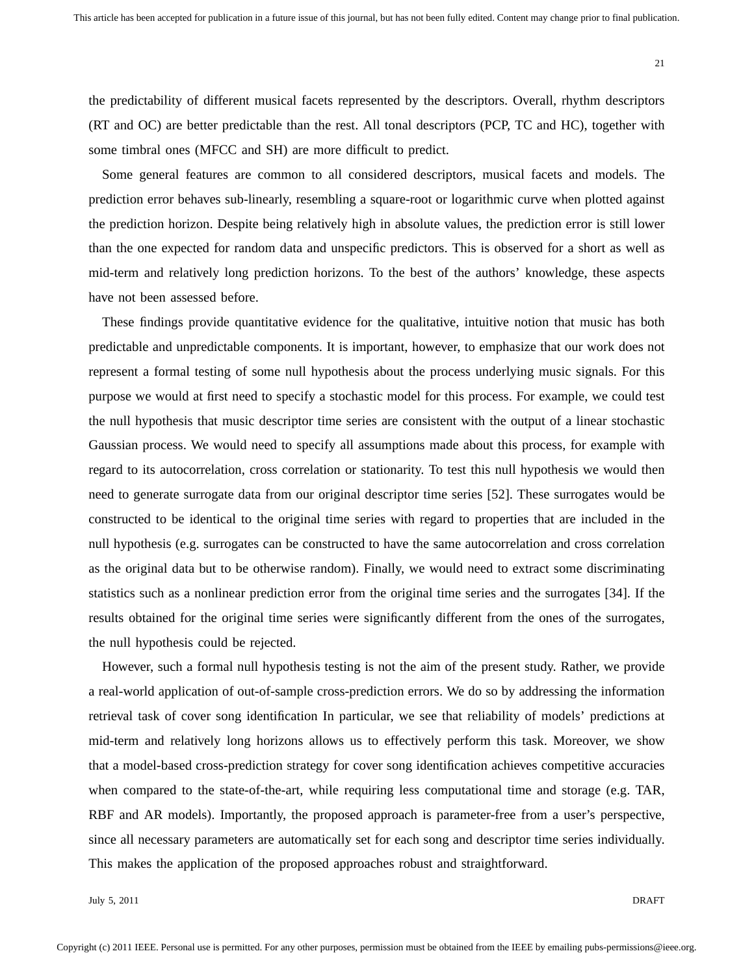the predictability of different musical facets represented by the descriptors. Overall, rhythm descriptors (RT and OC) are better predictable than the rest. All tonal descriptors (PCP, TC and HC), together with some timbral ones (MFCC and SH) are more difficult to predict.

Some general features are common to all considered descriptors, musical facets and models. The prediction error behaves sub-linearly, resembling a square-root or logarithmic curve when plotted against the prediction horizon. Despite being relatively high in absolute values, the prediction error is still lower than the one expected for random data and unspecific predictors. This is observed for a short as well as mid-term and relatively long prediction horizons. To the best of the authors' knowledge, these aspects have not been assessed before.

These findings provide quantitative evidence for the qualitative, intuitive notion that music has both predictable and unpredictable components. It is important, however, to emphasize that our work does not represent a formal testing of some null hypothesis about the process underlying music signals. For this purpose we would at first need to specify a stochastic model for this process. For example, we could test the null hypothesis that music descriptor time series are consistent with the output of a linear stochastic Gaussian process. We would need to specify all assumptions made about this process, for example with regard to its autocorrelation, cross correlation or stationarity. To test this null hypothesis we would then need to generate surrogate data from our original descriptor time series [52]. These surrogates would be constructed to be identical to the original time series with regard to properties that are included in the null hypothesis (e.g. surrogates can be constructed to have the same autocorrelation and cross correlation as the original data but to be otherwise random). Finally, we would need to extract some discriminating statistics such as a nonlinear prediction error from the original time series and the surrogates [34]. If the results obtained for the original time series were significantly different from the ones of the surrogates, the null hypothesis could be rejected.

However, such a formal null hypothesis testing is not the aim of the present study. Rather, we provide a real-world application of out-of-sample cross-prediction errors. We do so by addressing the information retrieval task of cover song identification In particular, we see that reliability of models' predictions at mid-term and relatively long horizons allows us to effectively perform this task. Moreover, we show that a model-based cross-prediction strategy for cover song identification achieves competitive accuracies when compared to the state-of-the-art, while requiring less computational time and storage (e.g. TAR, RBF and AR models). Importantly, the proposed approach is parameter-free from a user's perspective, since all necessary parameters are automatically set for each song and descriptor time series individually. This makes the application of the proposed approaches robust and straightforward.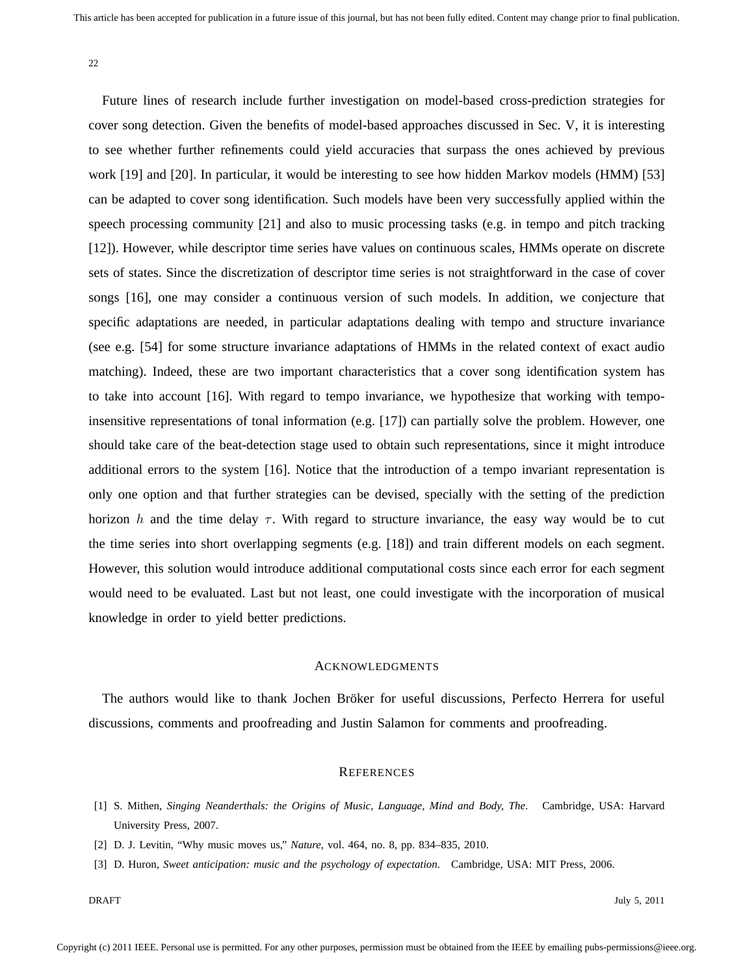Future lines of research include further investigation on model-based cross-prediction strategies for cover song detection. Given the benefits of model-based approaches discussed in Sec. V, it is interesting to see whether further refinements could yield accuracies that surpass the ones achieved by previous work [19] and [20]. In particular, it would be interesting to see how hidden Markov models (HMM) [53] can be adapted to cover song identification. Such models have been very successfully applied within the speech processing community [21] and also to music processing tasks (e.g. in tempo and pitch tracking [12]). However, while descriptor time series have values on continuous scales, HMMs operate on discrete sets of states. Since the discretization of descriptor time series is not straightforward in the case of cover songs [16], one may consider a continuous version of such models. In addition, we conjecture that specific adaptations are needed, in particular adaptations dealing with tempo and structure invariance (see e.g. [54] for some structure invariance adaptations of HMMs in the related context of exact audio matching). Indeed, these are two important characteristics that a cover song identification system has to take into account [16]. With regard to tempo invariance, we hypothesize that working with tempoinsensitive representations of tonal information (e.g. [17]) can partially solve the problem. However, one should take care of the beat-detection stage used to obtain such representations, since it might introduce additional errors to the system [16]. Notice that the introduction of a tempo invariant representation is only one option and that further strategies can be devised, specially with the setting of the prediction horizon h and the time delay  $\tau$ . With regard to structure invariance, the easy way would be to cut the time series into short overlapping segments (e.g. [18]) and train different models on each segment. However, this solution would introduce additional computational costs since each error for each segment would need to be evaluated. Last but not least, one could investigate with the incorporation of musical knowledge in order to yield better predictions.

#### ACKNOWLEDGMENTS

The authors would like to thank Jochen Bröker for useful discussions, Perfecto Herrera for useful discussions, comments and proofreading and Justin Salamon for comments and proofreading.

#### **REFERENCES**

- [2] D. J. Levitin, "Why music moves us," *Nature*, vol. 464, no. 8, pp. 834–835, 2010.
- [3] D. Huron, *Sweet anticipation: music and the psychology of expectation*. Cambridge, USA: MIT Press, 2006.

DRAFT July 5, 2011

<sup>[1]</sup> S. Mithen, *Singing Neanderthals: the Origins of Music, Language, Mind and Body, The*. Cambridge, USA: Harvard University Press, 2007.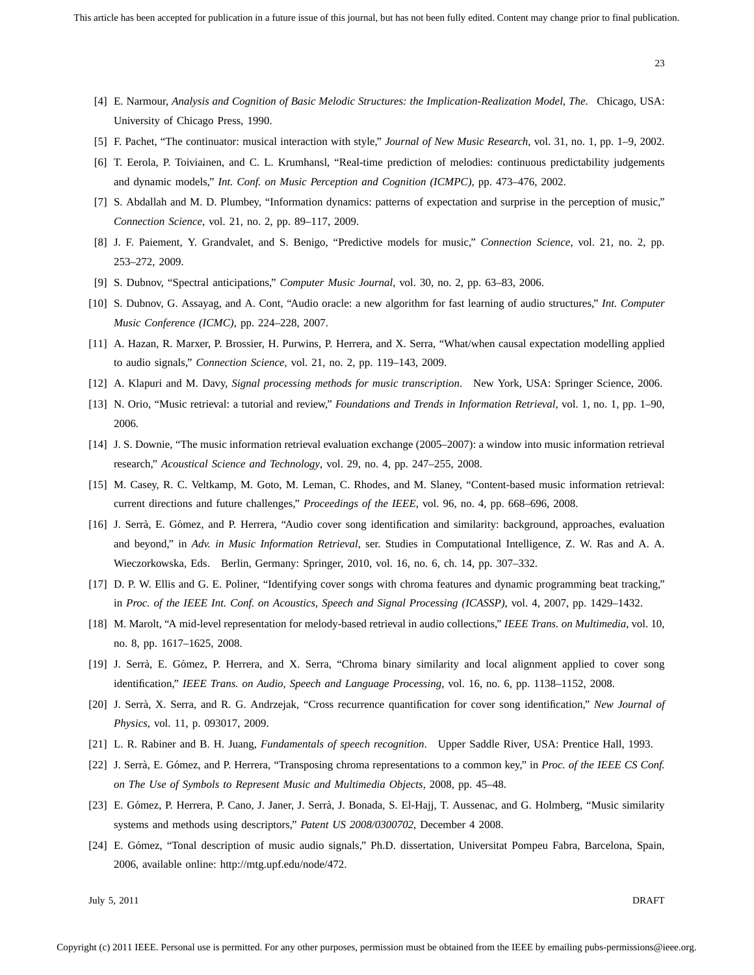- [4] E. Narmour, *Analysis and Cognition of Basic Melodic Structures: the Implication-Realization Model, The*. Chicago, USA: University of Chicago Press, 1990.
- [5] F. Pachet, "The continuator: musical interaction with style," *Journal of New Music Research*, vol. 31, no. 1, pp. 1–9, 2002.
- [6] T. Eerola, P. Toiviainen, and C. L. Krumhansl, "Real-time prediction of melodies: continuous predictability judgements and dynamic models," *Int. Conf. on Music Perception and Cognition (ICMPC)*, pp. 473–476, 2002.
- [7] S. Abdallah and M. D. Plumbey, "Information dynamics: patterns of expectation and surprise in the perception of music," *Connection Science*, vol. 21, no. 2, pp. 89–117, 2009.
- [8] J. F. Paiement, Y. Grandvalet, and S. Benigo, "Predictive models for music," *Connection Science*, vol. 21, no. 2, pp. 253–272, 2009.
- [9] S. Dubnov, "Spectral anticipations," *Computer Music Journal*, vol. 30, no. 2, pp. 63–83, 2006.
- [10] S. Dubnov, G. Assayag, and A. Cont, "Audio oracle: a new algorithm for fast learning of audio structures," *Int. Computer Music Conference (ICMC)*, pp. 224–228, 2007.
- [11] A. Hazan, R. Marxer, P. Brossier, H. Purwins, P. Herrera, and X. Serra, "What/when causal expectation modelling applied to audio signals," *Connection Science*, vol. 21, no. 2, pp. 119–143, 2009.
- [12] A. Klapuri and M. Davy, *Signal processing methods for music transcription*. New York, USA: Springer Science, 2006.
- [13] N. Orio, "Music retrieval: a tutorial and review," *Foundations and Trends in Information Retrieval*, vol. 1, no. 1, pp. 1–90, 2006.
- [14] J. S. Downie, "The music information retrieval evaluation exchange (2005–2007): a window into music information retrieval research," *Acoustical Science and Technology*, vol. 29, no. 4, pp. 247–255, 2008.
- [15] M. Casey, R. C. Veltkamp, M. Goto, M. Leman, C. Rhodes, and M. Slaney, "Content-based music information retrieval: current directions and future challenges," *Proceedings of the IEEE*, vol. 96, no. 4, pp. 668–696, 2008.
- [16] J. Serrà, E. Gómez, and P. Herrera, "Audio cover song identification and similarity: background, approaches, evaluation and beyond," in *Adv. in Music Information Retrieval*, ser. Studies in Computational Intelligence, Z. W. Ras and A. A. Wieczorkowska, Eds. Berlin, Germany: Springer, 2010, vol. 16, no. 6, ch. 14, pp. 307–332.
- [17] D. P. W. Ellis and G. E. Poliner, "Identifying cover songs with chroma features and dynamic programming beat tracking," in *Proc. of the IEEE Int. Conf. on Acoustics, Speech and Signal Processing (ICASSP)*, vol. 4, 2007, pp. 1429–1432.
- [18] M. Marolt, "A mid-level representation for melody-based retrieval in audio collections," *IEEE Trans. on Multimedia*, vol. 10, no. 8, pp. 1617–1625, 2008.
- [19] J. Serrà, E. Gómez, P. Herrera, and X. Serra, "Chroma binary similarity and local alignment applied to cover song identification," *IEEE Trans. on Audio, Speech and Language Processing*, vol. 16, no. 6, pp. 1138–1152, 2008.
- [20] J. Serra, X. Serra, and R. G. Andrzejak, "Cross recurrence quantification ` for cover song identification," *New Journal of Physics*, vol. 11, p. 093017, 2009.
- [21] L. R. Rabiner and B. H. Juang, *Fundamentals of speech recognition*. Upper Saddle River, USA: Prentice Hall, 1993.
- [22] J. Serrà, E. Gómez, and P. Herrera, "Transposing chroma representations to a common key," in *Proc. of the IEEE CS Conf. on The Use of Symbols to Represent Music and Multimedia Objects*, 2008, pp. 45–48.
- [23] E. Gómez, P. Herrera, P. Cano, J. Janer, J. Serrà, J. Bonada, S. El-Hajj, T. Aussenac, and G. Holmberg, "Music similarity systems and methods using descriptors," *Patent US 2008/0300702*, December 4 2008.
- [24] E. Gómez, "Tonal description of music audio signals," Ph.D. dissertation, Universitat Pompeu Fabra, Barcelona, Spain, 2006, available online: http://mtg.upf.edu/node/472.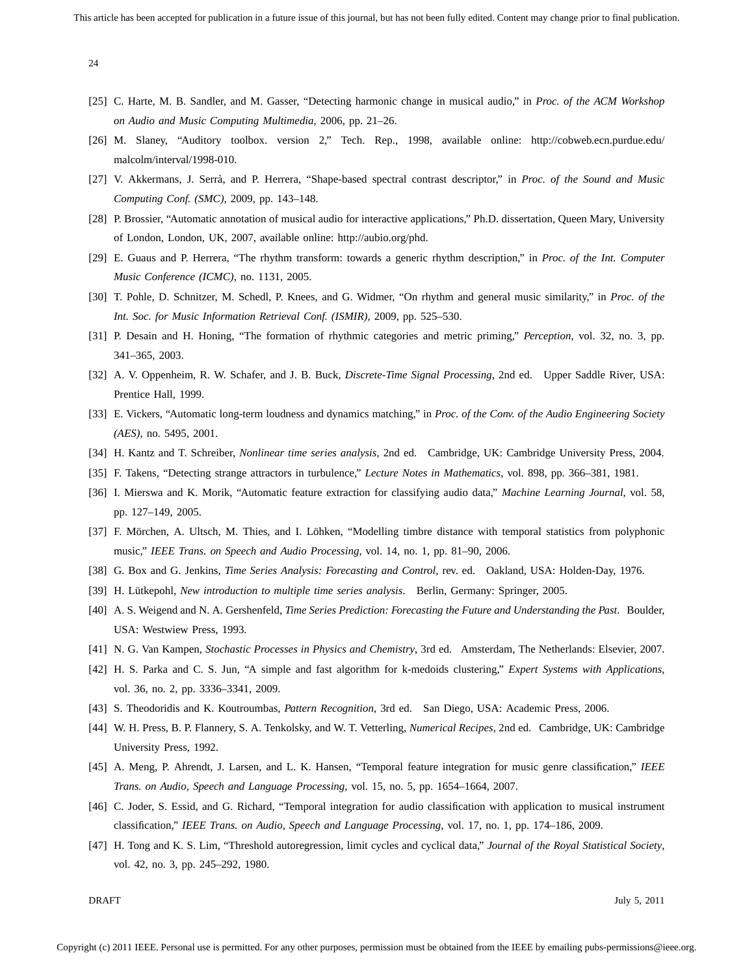- [25] C. Harte, M. B. Sandler, and M. Gasser, "Detecting harmonic change in musical audio," in *Proc. of the ACM Workshop on Audio and Music Computing Multimedia*, 2006, pp. 21–26.
- [26] M. Slaney, "Auditory toolbox. version 2," Tech. Rep., 1998, available online: http://cobweb.ecn.purdue.edu/ malcolm/interval/1998-010.
- [27] V. Akkermans, J. Serra, and P. Herrera, "Shape-based spectral contrast descriptor," ` in *Proc. of the Sound and Music Computing Conf. (SMC)*, 2009, pp. 143–148.
- [28] P. Brossier, "Automatic annotation of musical audio for interactive applications," Ph.D. dissertation, Queen Mary, University of London, London, UK, 2007, available online: http://aubio.org/phd.
- [29] E. Guaus and P. Herrera, "The rhythm transform: towards a generic rhythm description," in *Proc. of the Int. Computer Music Conference (ICMC)*, no. 1131, 2005.
- [30] T. Pohle, D. Schnitzer, M. Schedl, P. Knees, and G. Widmer, "On rhythm and general music similarity," in *Proc. of the Int. Soc. for Music Information Retrieval Conf. (ISMIR)*, 2009, pp. 525–530.
- [31] P. Desain and H. Honing, "The formation of rhythmic categories and metric priming," *Perception*, vol. 32, no. 3, pp. 341–365, 2003.
- [32] A. V. Oppenheim, R. W. Schafer, and J. B. Buck, *Discrete-Time Signal Processing*, 2nd ed. Upper Saddle River, USA: Prentice Hall, 1999.
- [33] E. Vickers, "Automatic long-term loudness and dynamics matching," in *Proc. of the Conv. of the Audio Engineering Society (AES)*, no. 5495, 2001.
- [34] H. Kantz and T. Schreiber, *Nonlinear time series analysis*, 2nd ed. Cambridge, UK: Cambridge University Press, 2004.
- [35] F. Takens, "Detecting strange attractors in turbulence," *Lecture Notes in Mathematics*, vol. 898, pp. 366–381, 1981.
- [36] I. Mierswa and K. Morik, "Automatic feature extraction for classifying audio data," *Machine Learning Journal*, vol. 58, pp. 127–149, 2005.
- [37] F. Mörchen, A. Ultsch, M. Thies, and I. Löhken, "Modelling timbre distance with temporal statistics from polyphonic music," *IEEE Trans. on Speech and Audio Processing*, vol. 14, no. 1, pp. 81–90, 2006.
- [38] G. Box and G. Jenkins, *Time Series Analysis: Forecasting and Control*, rev. ed. Oakland, USA: Holden-Day, 1976.
- [39] H. Lütkepohl, *New introduction to multiple time series analysis*. Berlin, Germany: Springer, 2005.
- [40] A. S. Weigend and N. A. Gershenfeld, *Time Series Prediction: Forecasting the Future and Understanding the Past*. Boulder, USA: Westwiew Press, 1993.
- [41] N. G. Van Kampen, *Stochastic Processes in Physics and Chemistry*, 3rd ed. Amsterdam, The Netherlands: Elsevier, 2007.
- [42] H. S. Parka and C. S. Jun, "A simple and fast algorithm for k-medoids clustering," *Expert Systems with Applications*, vol. 36, no. 2, pp. 3336–3341, 2009.
- [43] S. Theodoridis and K. Koutroumbas, *Pattern Recognition*, 3rd ed. San Diego, USA: Academic Press, 2006.
- [44] W. H. Press, B. P. Flannery, S. A. Tenkolsky, and W. T. Vetterling, *Numerical Recipes*, 2nd ed. Cambridge, UK: Cambridge University Press, 1992.
- [45] A. Meng, P. Ahrendt, J. Larsen, and L. K. Hansen, "Temporal feature integration for music genre classification," *IEEE Trans. on Audio, Speech and Language Processing*, vol. 15, no. 5, pp. 1654–1664, 2007.
- [46] C. Joder, S. Essid, and G. Richard, "Temporal integration for audio classification with application to musical instrument classification," *IEEE Trans. on Audio, Speech and Language Processing*, vol. 17, no. 1, pp. 174–186, 2009.
- [47] H. Tong and K. S. Lim, "Threshold autoregression, limit cycles and cyclical data," *Journal of the Royal Statistical Society*, vol. 42, no. 3, pp. 245–292, 1980.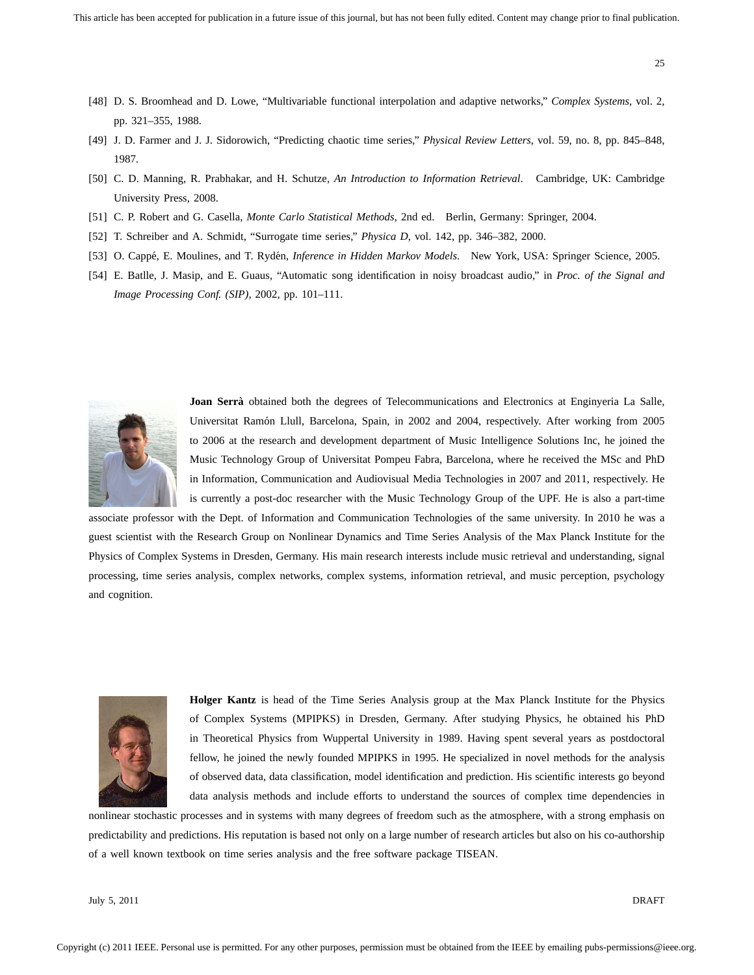- [48] D. S. Broomhead and D. Lowe, "Multivariable functional interpolation and adaptive networks," *Complex Systems*, vol. 2, pp. 321–355, 1988.
- [49] J. D. Farmer and J. J. Sidorowich, "Predicting chaotic time series," *Physical Review Letters*, vol. 59, no. 8, pp. 845–848, 1987.
- [50] C. D. Manning, R. Prabhakar, and H. Schutze, *An Introduction to Information Retrieval*. Cambridge, UK: Cambridge University Press, 2008.
- [51] C. P. Robert and G. Casella, *Monte Carlo Statistical Methods*, 2nd ed. Berlin, Germany: Springer, 2004.
- [52] T. Schreiber and A. Schmidt, "Surrogate time series," *Physica D*, vol. 142, pp. 346–382, 2000.
- [53] O. Cappé, E. Moulines, and T. Rydén, *Inference in Hidden Markov Models*. New York, USA: Springer Science, 2005.
- [54] E. Batlle, J. Masip, and E. Guaus, "Automatic song identification in noisy broadcast audio," in *Proc. of the Signal and Image Processing Conf. (SIP)*, 2002, pp. 101–111.



**Joan Serra`** obtained both the degrees of Telecommunications and Electronics at Enginyeria La Salle, Universitat Ramón Llull, Barcelona, Spain, in 2002 and 2004, respectively. After working from 2005 to 2006 at the research and development department of Music Intelligence Solutions Inc, he joined the Music Technology Group of Universitat Pompeu Fabra, Barcelona, where he received the MSc and PhD in Information, Communication and Audiovisual Media Technologies in 2007 and 2011, respectively. He is currently a post-doc researcher with the Music Technology Group of the UPF. He is also a part-time

associate professor with the Dept. of Information and Communication Technologies of the same university. In 2010 he was a guest scientist with the Research Group on Nonlinear Dynamics and Time Series Analysis of the Max Planck Institute for the Physics of Complex Systems in Dresden, Germany. His main research interests include music retrieval and understanding, signal processing, time series analysis, complex networks, complex systems, information retrieval, and music perception, psychology and cognition.



**Holger Kantz** is head of the Time Series Analysis group at the Max Planck Institute for the Physics of Complex Systems (MPIPKS) in Dresden, Germany. After studying Physics, he obtained his PhD in Theoretical Physics from Wuppertal University in 1989. Having spent several years as postdoctoral fellow, he joined the newly founded MPIPKS in 1995. He specialized in novel methods for the analysis of observed data, data classification, model identification and prediction. His scientific interests go beyond data analysis methods and include efforts to understand the sources of complex time dependencies in

nonlinear stochastic processes and in systems with many degrees of freedom such as the atmosphere, with a strong emphasis on predictability and predictions. His reputation is based not only on a large number of research articles but also on his co-authorship of a well known textbook on time series analysis and the free software package TISEAN.